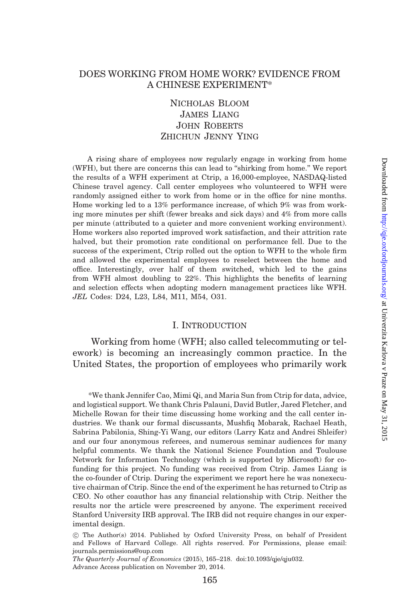# DOES WORKING FROM HOME WORK? EVIDENCE FROM A CHINESE EXPERIMENT\*

# Nicholas Bloom James Liang John Roberts ZHICHUN JENNY YING

A rising share of employees now regularly engage in working from home (WFH), but there are concerns this can lead to "shirking from home." We report the results of a WFH experiment at Ctrip, a 16,000-employee, NASDAQ-listed Chinese travel agency. Call center employees who volunteered to WFH were randomly assigned either to work from home or in the office for nine months. Home working led to a 13% performance increase, of which 9% was from working more minutes per shift (fewer breaks and sick days) and 4% from more calls per minute (attributed to a quieter and more convenient working environment). Home workers also reported improved work satisfaction, and their attrition rate halved, but their promotion rate conditional on performance fell. Due to the success of the experiment, Ctrip rolled out the option to WFH to the whole firm and allowed the experimental employees to reselect between the home and office. Interestingly, over half of them switched, which led to the gains from WFH almost doubling to 22%. This highlights the benefits of learning and selection effects when adopting modern management practices like WFH. JEL Codes: D24, L23, L84, M11, M54, O31.

# I. Introduction

Working from home (WFH; also called telecommuting or telework) is becoming an increasingly common practice. In the United States, the proportion of employees who primarily work

\*We thank Jennifer Cao, Mimi Qi, and Maria Sun from Ctrip for data, advice, and logistical support. We thank Chris Palauni, David Butler, Jared Fletcher, and Michelle Rowan for their time discussing home working and the call center industries. We thank our formal discussants, Mushfiq Mobarak, Rachael Heath, Sabrina Pabilonia, Shing-Yi Wang, our editors (Larry Katz and Andrei Shleifer) and our four anonymous referees, and numerous seminar audiences for many helpful comments. We thank the National Science Foundation and Toulouse Network for Information Technology (which is supported by Microsoft) for cofunding for this project. No funding was received from Ctrip. James Liang is the co-founder of Ctrip. During the experiment we report here he was nonexecutive chairman of Ctrip. Since the end of the experiment he has returned to Ctrip as CEO. No other coauthor has any financial relationship with Ctrip. Neither the results nor the article were prescreened by anyone. The experiment received Stanford University IRB approval. The IRB did not require changes in our experimental design.

! The Author(s) 2014. Published by Oxford University Press, on behalf of President and Fellows of Harvard College. All rights reserved. For Permissions, please email: journals.permissions@oup.com

The Quarterly Journal of Economics (2015), 165–218. doi:10.1093/qje/qju032. Advance Access publication on November 20, 2014.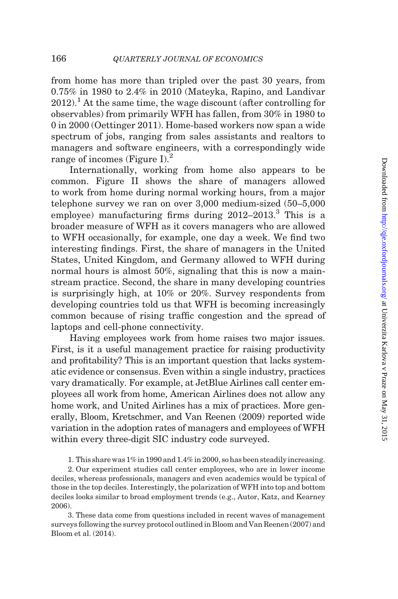from home has more than tripled over the past 30 years, from 0.75% in 1980 to 2.4% in 2010 ([Mateyka, Rapino, and Landivar](#page-53-0)  $2012$ <sup>1</sup>. At the same time, the wage discount (after controlling for observables) from primarily WFH has fallen, from 30% in 1980 to 0 in 2000 [\(Oettinger 2011\)](#page-53-0). Home-based workers now span a wide spectrum of jobs, ranging from sales assistants and realtors to managers and software engineers, with a correspondingly wide range of incomes [\(Figure I](#page-2-0)). $^2$ 

Internationally, working from home also appears to be common. [Figure II](#page-3-0) shows the share of managers allowed to work from home during normal working hours, from a major telephone survey we ran on over 3,000 medium-sized (50–5,000 employee) manufacturing firms during  $2012-2013$ <sup>3</sup> This is a broader measure of WFH as it covers managers who are allowed to WFH occasionally, for example, one day a week. We find two interesting findings. First, the share of managers in the United States, United Kingdom, and Germany allowed to WFH during normal hours is almost 50%, signaling that this is now a mainstream practice. Second, the share in many developing countries is surprisingly high, at 10% or 20%. Survey respondents from developing countries told us that WFH is becoming increasingly common because of rising traffic congestion and the spread of laptops and cell-phone connectivity.

Having employees work from home raises two major issues. First, is it a useful management practice for raising productivity and profitability? This is an important question that lacks systematic evidence or consensus. Even within a single industry, practices vary dramatically. For example, at JetBlue Airlines call center employees all work from home, American Airlines does not allow any home work, and United Airlines has a mix of practices. More generally, [Bloom, Kretschmer, and Van Reenen \(2009\)](#page-52-0) reported wide variation in the adoption rates of managers and employees of WFH within every three-digit SIC industry code surveyed.

1. This share was 1% in 1990 and 1.4% in 2000, so has been steadily increasing.

2. Our experiment studies call center employees, who are in lower income deciles, whereas professionals, managers and even academics would be typical of those in the top deciles. Interestingly, the polarization of WFH into top and bottom deciles looks similar to broad employment trends (e.g., [Autor, Katz, and Kearney](#page-51-0) [2006\)](#page-51-0).

3. These data come from questions included in recent waves of management surveys following the survey protocol outlined in [Bloom and Van Reenen \(2007\)](#page-52-0) and [Bloom et al. \(2014\)](#page-52-0).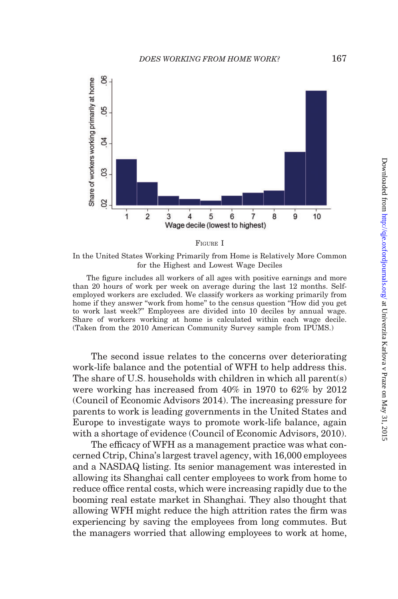<span id="page-2-0"></span>



In the United States Working Primarily from Home is Relatively More Common for the Highest and Lowest Wage Deciles

The figure includes all workers of all ages with positive earnings and more than 20 hours of work per week on average during the last 12 months. Selfemployed workers are excluded. We classify workers as working primarily from home if they answer "work from home" to the census question "How did you get to work last week?'' Employees are divided into 10 deciles by annual wage. Share of workers working at home is calculated within each wage decile. (Taken from the 2010 American Community Survey sample from IPUMS.)

The second issue relates to the concerns over deteriorating work-life balance and the potential of WFH to help address this. The share of U.S. households with children in which all parent(s) were working has increased from 40% in 1970 to 62% by 2012 [\(Council of Economic Advisors 2014](#page-52-0)). The increasing pressure for parents to work is leading governments in the United States and Europe to investigate ways to promote work-life balance, again with a shortage of evidence ([Council of Economic Advisors, 2010](#page-52-0)).

The efficacy of WFH as a management practice was what concerned Ctrip, China's largest travel agency, with 16,000 employees and a NASDAQ listing. Its senior management was interested in allowing its Shanghai call center employees to work from home to reduce office rental costs, which were increasing rapidly due to the booming real estate market in Shanghai. They also thought that allowing WFH might reduce the high attrition rates the firm was experiencing by saving the employees from long commutes. But the managers worried that allowing employees to work at home,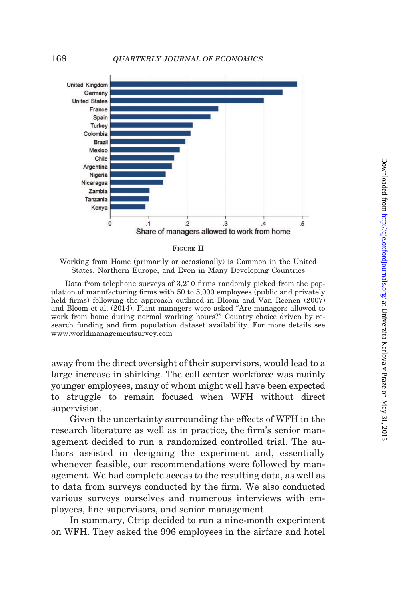<span id="page-3-0"></span>



Working from Home (primarily or occasionally) is Common in the United States, Northern Europe, and Even in Many Developing Countries

Data from telephone surveys of 3,210 firms randomly picked from the population of manufacturing firms with 50 to 5,000 employees (public and privately held firms) following the approach outlined in [Bloom and Van Reenen \(2007\)](#page-52-0) and [Bloom et al. \(2014\)](#page-52-0). Plant managers were asked ''Are managers allowed to work from home during normal working hours?'' Country choice driven by research funding and firm population dataset availability. For more details see <www.worldmanagementsurvey.com>

away from the direct oversight of their supervisors, would lead to a large increase in shirking. The call center workforce was mainly younger employees, many of whom might well have been expected to struggle to remain focused when WFH without direct supervision.

Given the uncertainty surrounding the effects of WFH in the research literature as well as in practice, the firm's senior management decided to run a randomized controlled trial. The authors assisted in designing the experiment and, essentially whenever feasible, our recommendations were followed by management. We had complete access to the resulting data, as well as to data from surveys conducted by the firm. We also conducted various surveys ourselves and numerous interviews with employees, line supervisors, and senior management.

In summary, Ctrip decided to run a nine-month experiment on WFH. They asked the 996 employees in the airfare and hotel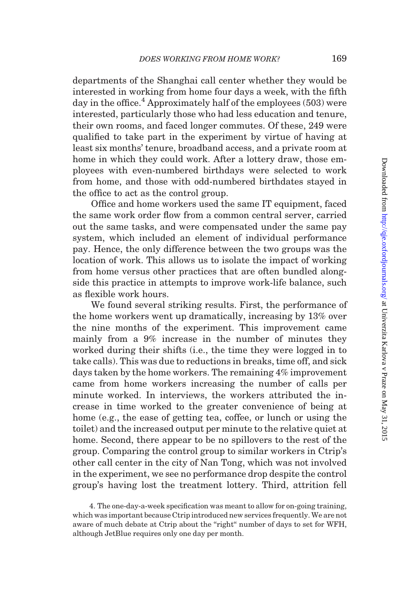departments of the Shanghai call center whether they would be interested in working from home four days a week, with the fifth day in the office.<sup>4</sup> Approximately half of the employees  $(503)$  were interested, particularly those who had less education and tenure, their own rooms, and faced longer commutes. Of these, 249 were qualified to take part in the experiment by virtue of having at least six months' tenure, broadband access, and a private room at home in which they could work. After a lottery draw, those employees with even-numbered birthdays were selected to work from home, and those with odd-numbered birthdates stayed in the office to act as the control group.

Office and home workers used the same IT equipment, faced the same work order flow from a common central server, carried out the same tasks, and were compensated under the same pay system, which included an element of individual performance pay. Hence, the only difference between the two groups was the location of work. This allows us to isolate the impact of working from home versus other practices that are often bundled alongside this practice in attempts to improve work-life balance, such as flexible work hours.

We found several striking results. First, the performance of the home workers went up dramatically, increasing by 13% over the nine months of the experiment. This improvement came mainly from a 9% increase in the number of minutes they worked during their shifts (i.e., the time they were logged in to take calls). This was due to reductions in breaks, time off, and sick days taken by the home workers. The remaining 4% improvement came from home workers increasing the number of calls per minute worked. In interviews, the workers attributed the increase in time worked to the greater convenience of being at home (e.g., the ease of getting tea, coffee, or lunch or using the toilet) and the increased output per minute to the relative quiet at home. Second, there appear to be no spillovers to the rest of the group. Comparing the control group to similar workers in Ctrip's other call center in the city of Nan Tong, which was not involved in the experiment, we see no performance drop despite the control group's having lost the treatment lottery. Third, attrition fell

<sup>4.</sup> The one-day-a-week specification was meant to allow for on-going training, which was important because Ctrip introduced new services frequently. We are not aware of much debate at Ctrip about the "right" number of days to set for WFH, although JetBlue requires only one day per month.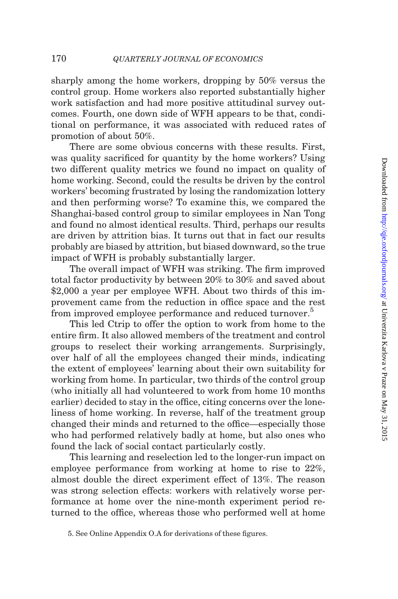sharply among the home workers, dropping by 50% versus the control group. Home workers also reported substantially higher work satisfaction and had more positive attitudinal survey outcomes. Fourth, one down side of WFH appears to be that, conditional on performance, it was associated with reduced rates of promotion of about 50%.

There are some obvious concerns with these results. First, was quality sacrificed for quantity by the home workers? Using two different quality metrics we found no impact on quality of home working. Second, could the results be driven by the control workers' becoming frustrated by losing the randomization lottery and then performing worse? To examine this, we compared the Shanghai-based control group to similar employees in Nan Tong and found no almost identical results. Third, perhaps our results are driven by attrition bias. It turns out that in fact our results probably are biased by attrition, but biased downward, so the true impact of WFH is probably substantially larger.

The overall impact of WFH was striking. The firm improved total factor productivity by between 20% to 30% and saved about \$2,000 a year per employee WFH. About two thirds of this improvement came from the reduction in office space and the rest from improved employee performance and reduced turnover.<sup>5</sup>

This led Ctrip to offer the option to work from home to the entire firm. It also allowed members of the treatment and control groups to reselect their working arrangements. Surprisingly, over half of all the employees changed their minds, indicating the extent of employees' learning about their own suitability for working from home. In particular, two thirds of the control group (who initially all had volunteered to work from home 10 months earlier) decided to stay in the office, citing concerns over the loneliness of home working. In reverse, half of the treatment group changed their minds and returned to the office—especially those who had performed relatively badly at home, but also ones who found the lack of social contact particularly costly.

This learning and reselection led to the longer-run impact on employee performance from working at home to rise to 22%, almost double the direct experiment effect of 13%. The reason was strong selection effects: workers with relatively worse performance at home over the nine-month experiment period returned to the office, whereas those who performed well at home

<sup>5.</sup> See [Online Appendix O.A](http://qje.oxfordjournals.org/lookup/suppl/doi:10.1093/qje/qju032/-/DC1) for derivations of these figures.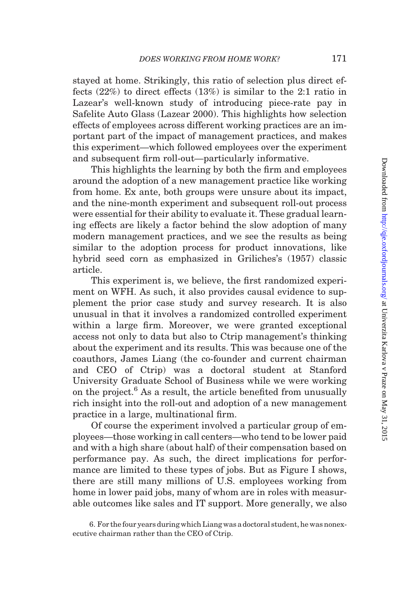stayed at home. Strikingly, this ratio of selection plus direct effects (22%) to direct effects (13%) is similar to the 2:1 ratio in Lazear's well-known study of introducing piece-rate pay in Safelite Auto Glass ([Lazear 2000\)](#page-53-0). This highlights how selection effects of employees across different working practices are an important part of the impact of management practices, and makes this experiment—which followed employees over the experiment and subsequent firm roll-out—particularly informative.

This highlights the learning by both the firm and employees around the adoption of a new management practice like working from home. Ex ante, both groups were unsure about its impact, and the nine-month experiment and subsequent roll-out process were essential for their ability to evaluate it. These gradual learning effects are likely a factor behind the slow adoption of many modern management practices, and we see the results as being similar to the adoption process for product innovations, like hybrid seed corn as emphasized in [Griliches's \(1957\)](#page-53-0) classic article.

This experiment is, we believe, the first randomized experiment on WFH. As such, it also provides causal evidence to supplement the prior case study and survey research. It is also unusual in that it involves a randomized controlled experiment within a large firm. Moreover, we were granted exceptional access not only to data but also to Ctrip management's thinking about the experiment and its results. This was because one of the coauthors, James Liang (the co-founder and current chairman and CEO of Ctrip) was a doctoral student at Stanford University Graduate School of Business while we were working on the project.<sup>6</sup> As a result, the article benefited from unusually rich insight into the roll-out and adoption of a new management practice in a large, multinational firm.

Of course the experiment involved a particular group of employees—those working in call centers—who tend to be lower paid and with a high share (about half) of their compensation based on performance pay. As such, the direct implications for performance are limited to these types of jobs. But as [Figure I](#page-2-0) shows, there are still many millions of U.S. employees working from home in lower paid jobs, many of whom are in roles with measurable outcomes like sales and IT support. More generally, we also

<sup>6.</sup> For the four years during which Liang was a doctoral student, he was nonexecutive chairman rather than the CEO of Ctrip.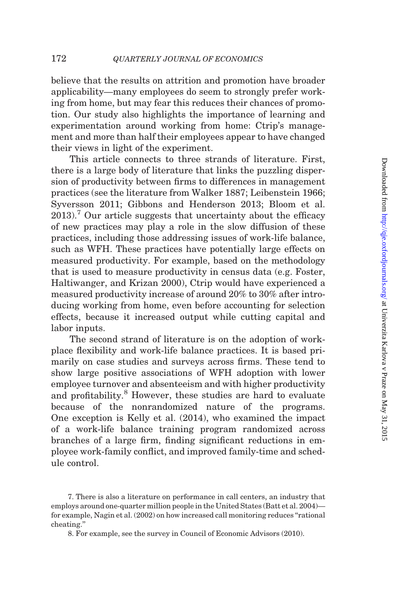believe that the results on attrition and promotion have broader applicability—many employees do seem to strongly prefer working from home, but may fear this reduces their chances of promotion. Our study also highlights the importance of learning and experimentation around working from home: Ctrip's management and more than half their employees appear to have changed their views in light of the experiment.

This article connects to three strands of literature. First, there is a large body of literature that links the puzzling dispersion of productivity between firms to differences in management practices (see the literature from [Walker 1887; Leibenstein 1966](#page-53-0); [Syversson 2011; Gibbons and Henderson 2013;](#page-53-0) [Bloom et al.](#page-52-0)  $2013$ .<sup>7</sup> Our article suggests that uncertainty about the efficacy of new practices may play a role in the slow diffusion of these practices, including those addressing issues of work-life balance, such as WFH. These practices have potentially large effects on measured productivity. For example, based on the methodology that is used to measure productivity in census data (e.g. [Foster,](#page-52-0) [Haltiwanger, and Krizan 2000\)](#page-52-0), Ctrip would have experienced a measured productivity increase of around 20% to 30% after introducing working from home, even before accounting for selection effects, because it increased output while cutting capital and labor inputs.

The second strand of literature is on the adoption of workplace flexibility and work-life balance practices. It is based primarily on case studies and surveys across firms. These tend to show large positive associations of WFH adoption with lower employee turnover and absenteeism and with higher productivity and profitability.<sup>8</sup> However, these studies are hard to evaluate because of the nonrandomized nature of the programs. One exception is [Kelly et al. \(2014\)](#page-53-0), who examined the impact of a work-life balance training program randomized across branches of a large firm, finding significant reductions in employee work-family conflict, and improved family-time and schedule control.

<sup>7.</sup> There is also a literature on performance in call centers, an industry that employs around one-quarter million people in the United States ([Batt et al. 2004\)](#page-52-0) for example, [Nagin et al. \(2002\)](#page-53-0) on how increased call monitoring reduces ''rational cheating.''

<sup>8.</sup> For example, see the survey in [Council of Economic Advisors \(2010\).](#page-52-0)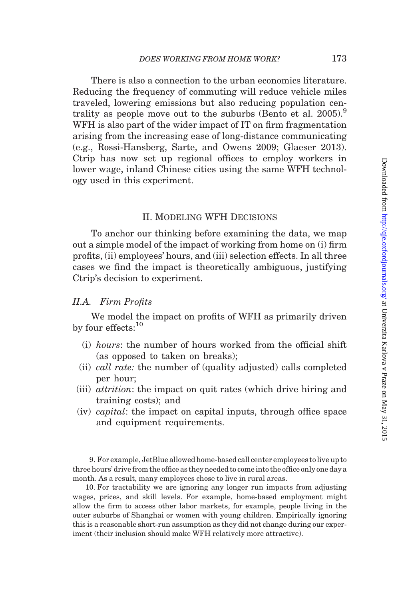There is also a connection to the urban economics literature. Reducing the frequency of commuting will reduce vehicle miles traveled, lowering emissions but also reducing population centrality as people move out to the suburbs (Bento et al.  $2005$ ).<sup>9</sup> WFH is also part of the wider impact of IT on firm fragmentation arising from the increasing ease of long-distance communicating (e.g., [Rossi-Hansberg, Sarte, and Owens 2009](#page-53-0); [Glaeser 2013](#page-53-0)). Ctrip has now set up regional offices to employ workers in lower wage, inland Chinese cities using the same WFH technology used in this experiment.

# II. Modeling WFH Decisions

To anchor our thinking before examining the data, we map out a simple model of the impact of working from home on (i) firm profits, (ii) employees' hours, and (iii) selection effects. In all three cases we find the impact is theoretically ambiguous, justifying Ctrip's decision to experiment.

# II.A. Firm Profits

We model the impact on profits of WFH as primarily driven by four effects:<sup>10</sup>

- (i) hours: the number of hours worked from the official shift (as opposed to taken on breaks);
- (ii) call rate: the number of (quality adjusted) calls completed per hour;
- (iii) attrition: the impact on quit rates (which drive hiring and training costs); and
- (iv) capital: the impact on capital inputs, through office space and equipment requirements.

9. For example, JetBlue allowed home-based call center employees to live up to three hours' drive from the office as they needed to come into the office only one day a month. As a result, many employees chose to live in rural areas.

10. For tractability we are ignoring any longer run impacts from adjusting wages, prices, and skill levels. For example, home-based employment might allow the firm to access other labor markets, for example, people living in the outer suburbs of Shanghai or women with young children. Empirically ignoring this is a reasonable short-run assumption as they did not change during our experiment (their inclusion should make WFH relatively more attractive).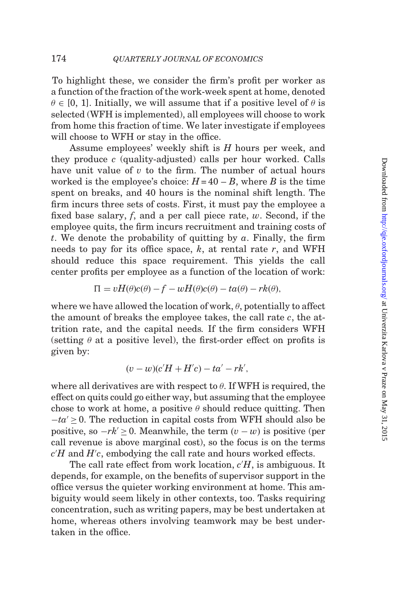To highlight these, we consider the firm's profit per worker as a function of the fraction of the work-week spent at home, denoted  $\theta \in [0, 1]$ . Initially, we will assume that if a positive level of  $\theta$  is selected (WFH is implemented), all employees will choose to work from home this fraction of time. We later investigate if employees will choose to WFH or stay in the office.

Assume employees' weekly shift is H hours per week, and they produce  $c$  (quality-adjusted) calls per hour worked. Calls have unit value of  $v$  to the firm. The number of actual hours worked is the employee's choice:  $H = 40 - B$ , where B is the time spent on breaks, and 40 hours is the nominal shift length. The firm incurs three sets of costs. First, it must pay the employee a fixed base salary,  $f$ , and a per call piece rate,  $w$ . Second, if the employee quits, the firm incurs recruitment and training costs of t. We denote the probability of quitting by  $\alpha$ . Finally, the firm needs to pay for its office space,  $k$ , at rental rate  $r$ , and WFH should reduce this space requirement. This yields the call center profits per employee as a function of the location of work:

$$
\Pi = vH(\theta)c(\theta) - f - wH(\theta)c(\theta) - ta(\theta) - rk(\theta),
$$

where we have allowed the location of work,  $\theta,$  potentially to affect the amount of breaks the employee takes, the call rate c, the attrition rate, and the capital needs. If the firm considers WFH (setting  $\theta$  at a positive level), the first-order effect on profits is given by:

$$
(v-w)(c'H+H'c)-ta'-rk',
$$

where all derivatives are with respect to  $\theta$ . If WFH is required, the effect on quits could go either way, but assuming that the employee chose to work at home, a positive  $\theta$  should reduce quitting. Then  $-ta' \geq 0$ . The reduction in capital costs from WFH should also be positive, so  $-rk' \geq 0$ . Meanwhile, the term  $(v - w)$  is positive (per call revenue is above marginal cost), so the focus is on the terms  $c'H$  and  $H'c$ , embodying the call rate and hours worked effects.

The call rate effect from work location,  $c'H$ , is ambiguous. It depends, for example, on the benefits of supervisor support in the office versus the quieter working environment at home. This ambiguity would seem likely in other contexts, too. Tasks requiring concentration, such as writing papers, may be best undertaken at home, whereas others involving teamwork may be best undertaken in the office.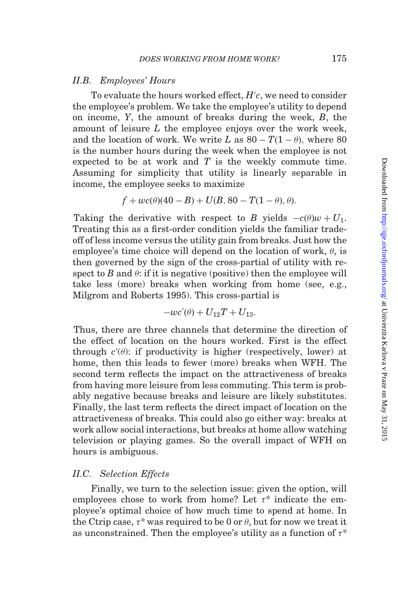## II.B. Employees' Hours

To evaluate the hours worked effect,  $H^\prime c$ , we need to consider the employee's problem. We take the employee's utility to depend on income, Y, the amount of breaks during the week, B, the amount of leisure L the employee enjoys over the work week, and the location of work. We write L as  $80 - T(1 - \theta)$ , where  $80$ is the number hours during the week when the employee is not expected to be at work and  $T$  is the weekly commute time. Assuming for simplicity that utility is linearly separable in income, the employee seeks to maximize

$$
f + wc(\theta)(40 - B) + U(B, 80 - T(1 - \theta), \theta).
$$

Taking the derivative with respect to B yields  $-c(\theta)w + U_1$ . Treating this as a first-order condition yields the familiar tradeoff of less income versus the utility gain from breaks. Just how the employee's time choice will depend on the location of work,  $\theta$ , is then governed by the sign of the cross-partial of utility with respect to B and  $\theta$ : if it is negative (positive) then the employee will take less (more) breaks when working from home (see, e.g., [Milgrom and Roberts 1995\)](#page-53-0). This cross-partial is

$$
-wc'(\theta)+U_{12}T+U_{13}.
$$

Thus, there are three channels that determine the direction of the effect of location on the hours worked. First is the effect through  $c'(\theta)$ : if productivity is higher (respectively, lower) at home, then this leads to fewer (more) breaks when WFH. The second term reflects the impact on the attractiveness of breaks from having more leisure from less commuting. This term is probably negative because breaks and leisure are likely substitutes. Finally, the last term reflects the direct impact of location on the attractiveness of breaks. This could also go either way: breaks at work allow social interactions, but breaks at home allow watching television or playing games. So the overall impact of WFH on hours is ambiguous.

# II.C. Selection Effects

Finally, we turn to the selection issue: given the option, will employees chose to work from home? Let  $\tau^*$  indicate the employee's optimal choice of how much time to spend at home. In the Ctrip case,  $\tau^*$  was required to be 0 or  $\theta$ , but for now we treat it as unconstrained. Then the employee's utility as a function of  $\tau^*$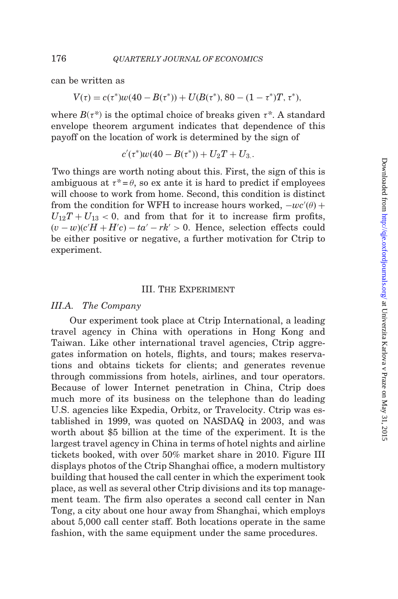can be written as

$$
V(\tau) = c(\tau^*)w(40 - B(\tau^*)) + U(B(\tau^*), 80 - (1 - \tau^*)T, \tau^*),
$$

where  $B(\tau^*)$  is the optimal choice of breaks given  $\tau^*$ . A standard envelope theorem argument indicates that dependence of this payoff on the location of work is determined by the sign of

 $c'(\tau^*)w(40-B(\tau^*))+U_2T+U_3$ .

Two things are worth noting about this. First, the sign of this is ambiguous at  $\tau^* = \theta$ , so ex ante it is hard to predict if employees will choose to work from home. Second, this condition is distinct from the condition for WFH to increase hours worked,  $-wc'(\theta)$  +  $U_{12}T + U_{13} < 0$ , and from that for it to increase firm profits,  $(v - w)(c'H + H'c) - ta' - rk' > 0$ . Hence, selection effects could be either positive or negative, a further motivation for Ctrip to experiment.

# III. The Experiment

#### III.A. The Company

Our experiment took place at Ctrip International, a leading travel agency in China with operations in Hong Kong and Taiwan. Like other international travel agencies, Ctrip aggregates information on hotels, flights, and tours; makes reservations and obtains tickets for clients; and generates revenue through commissions from hotels, airlines, and tour operators. Because of lower Internet penetration in China, Ctrip does much more of its business on the telephone than do leading U.S. agencies like Expedia, Orbitz, or Travelocity. Ctrip was established in 1999, was quoted on NASDAQ in 2003, and was worth about \$5 billion at the time of the experiment. It is the largest travel agency in China in terms of hotel nights and airline tickets booked, with over 50% market share in 2010. [Figure III](#page-13-0) displays photos of the Ctrip Shanghai office, a modern multistory building that housed the call center in which the experiment took place, as well as several other Ctrip divisions and its top management team. The firm also operates a second call center in Nan Tong, a city about one hour away from Shanghai, which employs about 5,000 call center staff. Both locations operate in the same fashion, with the same equipment under the same procedures.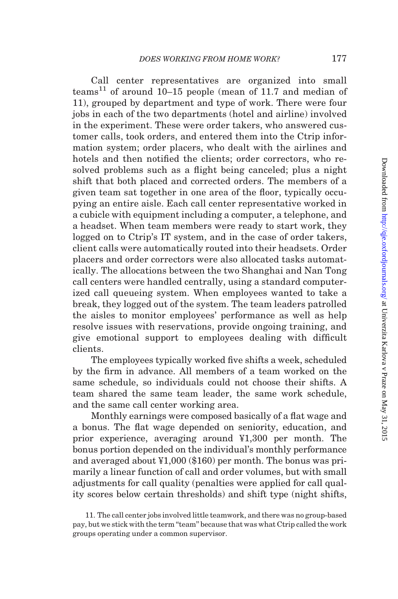Call center representatives are organized into small teams<sup>11</sup> of around  $10-15$  people (mean of 11.7 and median of 11), grouped by department and type of work. There were four jobs in each of the two departments (hotel and airline) involved in the experiment. These were order takers, who answered customer calls, took orders, and entered them into the Ctrip information system; order placers, who dealt with the airlines and hotels and then notified the clients; order correctors, who resolved problems such as a flight being canceled; plus a night shift that both placed and corrected orders. The members of a given team sat together in one area of the floor, typically occupying an entire aisle. Each call center representative worked in a cubicle with equipment including a computer, a telephone, and a headset. When team members were ready to start work, they logged on to Ctrip's IT system, and in the case of order takers, client calls were automatically routed into their headsets. Order placers and order correctors were also allocated tasks automatically. The allocations between the two Shanghai and Nan Tong call centers were handled centrally, using a standard computerized call queueing system. When employees wanted to take a break, they logged out of the system. The team leaders patrolled the aisles to monitor employees' performance as well as help resolve issues with reservations, provide ongoing training, and give emotional support to employees dealing with difficult clients.

The employees typically worked five shifts a week, scheduled by the firm in advance. All members of a team worked on the same schedule, so individuals could not choose their shifts. A team shared the same team leader, the same work schedule, and the same call center working area.

Monthly earnings were composed basically of a flat wage and a bonus. The flat wage depended on seniority, education, and prior experience, averaging around ¥1,300 per month. The bonus portion depended on the individual's monthly performance and averaged about ¥1,000 (\$160) per month. The bonus was primarily a linear function of call and order volumes, but with small adjustments for call quality (penalties were applied for call quality scores below certain thresholds) and shift type (night shifts,

<sup>11.</sup> The call center jobs involved little teamwork, and there was no group-based pay, but we stick with the term ''team'' because that was what Ctrip called the work groups operating under a common supervisor.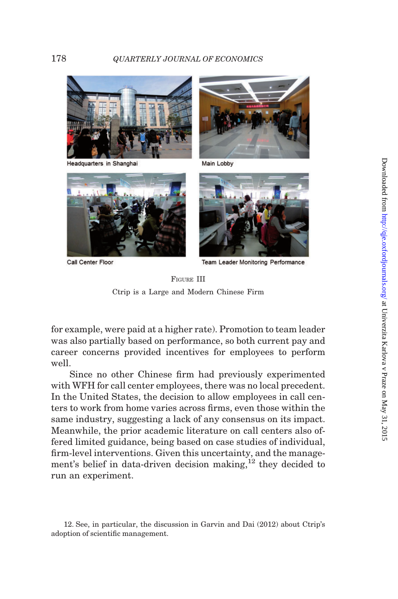

Headquarters in Shanghai



Main Lobby



Call Center Floor



**Team Leader Monitoring Performance** 

FIGURE III Ctrip is a Large and Modern Chinese Firm

for example, were paid at a higher rate). Promotion to team leader was also partially based on performance, so both current pay and career concerns provided incentives for employees to perform well.

Since no other Chinese firm had previously experimented with WFH for call center employees, there was no local precedent. In the United States, the decision to allow employees in call centers to work from home varies across firms, even those within the same industry, suggesting a lack of any consensus on its impact. Meanwhile, the prior academic literature on call centers also offered limited guidance, being based on case studies of individual, firm-level interventions. Given this uncertainty, and the management's belief in data-driven decision making, $^{12}$  they decided to run an experiment.

<span id="page-13-0"></span>

<sup>12.</sup> See, in particular, the discussion in [Garvin and Dai \(2012\)](#page-53-0) about Ctrip's adoption of scientific management.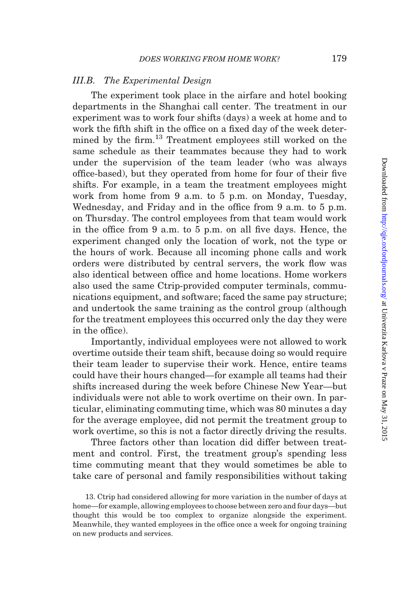# III.B. The Experimental Design

The experiment took place in the airfare and hotel booking departments in the Shanghai call center. The treatment in our experiment was to work four shifts (days) a week at home and to work the fifth shift in the office on a fixed day of the week determined by the firm.<sup>13</sup> Treatment employees still worked on the same schedule as their teammates because they had to work under the supervision of the team leader (who was always office-based), but they operated from home for four of their five shifts. For example, in a team the treatment employees might work from home from 9 a.m. to 5 p.m. on Monday, Tuesday, Wednesday, and Friday and in the office from 9 a.m. to 5 p.m. on Thursday. The control employees from that team would work in the office from 9 a.m. to 5 p.m. on all five days. Hence, the experiment changed only the location of work, not the type or the hours of work. Because all incoming phone calls and work orders were distributed by central servers, the work flow was also identical between office and home locations. Home workers also used the same Ctrip-provided computer terminals, communications equipment, and software; faced the same pay structure; and undertook the same training as the control group (although for the treatment employees this occurred only the day they were in the office).

Importantly, individual employees were not allowed to work overtime outside their team shift, because doing so would require their team leader to supervise their work. Hence, entire teams could have their hours changed—for example all teams had their shifts increased during the week before Chinese New Year—but individuals were not able to work overtime on their own. In particular, eliminating commuting time, which was 80 minutes a day for the average employee, did not permit the treatment group to work overtime, so this is not a factor directly driving the results.

Three factors other than location did differ between treatment and control. First, the treatment group's spending less time commuting meant that they would sometimes be able to take care of personal and family responsibilities without taking

<sup>13.</sup> Ctrip had considered allowing for more variation in the number of days at home—for example, allowing employees to choose between zero and four days—but thought this would be too complex to organize alongside the experiment. Meanwhile, they wanted employees in the office once a week for ongoing training on new products and services.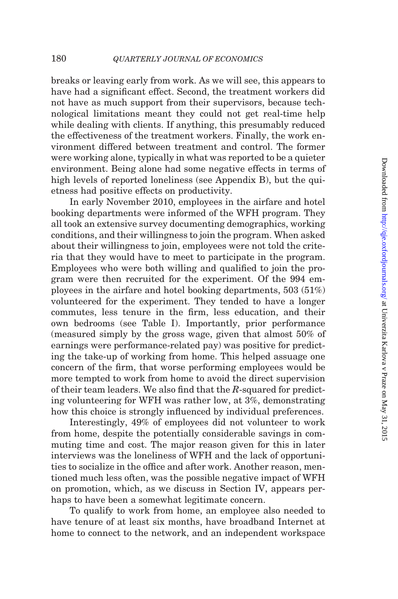breaks or leaving early from work. As we will see, this appears to have had a significant effect. Second, the treatment workers did not have as much support from their supervisors, because technological limitations meant they could not get real-time help while dealing with clients. If anything, this presumably reduced the effectiveness of the treatment workers. Finally, the work environment differed between treatment and control. The former were working alone, typically in what was reported to be a quieter environment. Being alone had some negative effects in terms of high levels of reported loneliness (see [Appendix B\)](#page-50-0), but the quietness had positive effects on productivity.

In early November 2010, employees in the airfare and hotel booking departments were informed of the WFH program. They all took an extensive survey documenting demographics, working conditions, and their willingness to join the program. When asked about their willingness to join, employees were not told the criteria that they would have to meet to participate in the program. Employees who were both willing and qualified to join the program were then recruited for the experiment. Of the 994 employees in the airfare and hotel booking departments, 503 (51%) volunteered for the experiment. They tended to have a longer commutes, less tenure in the firm, less education, and their own bedrooms (see [Table I](#page-16-0)). Importantly, prior performance (measured simply by the gross wage, given that almost 50% of earnings were performance-related pay) was positive for predicting the take-up of working from home. This helped assuage one concern of the firm, that worse performing employees would be more tempted to work from home to avoid the direct supervision of their team leaders. We also find that the R-squared for predicting volunteering for WFH was rather low, at 3%, demonstrating how this choice is strongly influenced by individual preferences.

Interestingly, 49% of employees did not volunteer to work from home, despite the potentially considerable savings in commuting time and cost. The major reason given for this in later interviews was the loneliness of WFH and the lack of opportunities to socialize in the office and after work. Another reason, mentioned much less often, was the possible negative impact of WFH on promotion, which, as we discuss in Section IV, appears perhaps to have been a somewhat legitimate concern.

To qualify to work from home, an employee also needed to have tenure of at least six months, have broadband Internet at home to connect to the network, and an independent workspace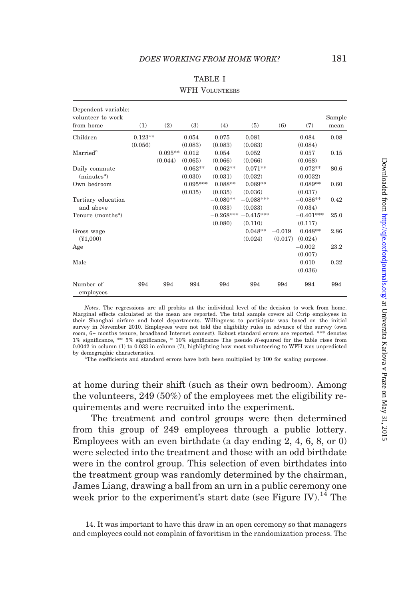<span id="page-16-0"></span>

| volunteer to work<br>from home | (1)       | (2)       | (3)        | (4)         | (5)         | (6)      | (7)         | Sample<br>mean |
|--------------------------------|-----------|-----------|------------|-------------|-------------|----------|-------------|----------------|
| Children                       | $0.123**$ |           | 0.054      | 0.075       | 0.081       |          | 0.084       | 0.08           |
|                                | (0.056)   |           | (0.083)    | (0.083)     | (0.083)     |          | (0.084)     |                |
| $\rm{Married}^a$               |           | $0.095**$ | 0.012      | 0.054       | 0.052       |          | 0.057       | 0.15           |
|                                |           | (0.044)   | (0.065)    | (0.066)     | (0.066)     |          | (0.068)     |                |
| Daily commute                  |           |           | $0.062**$  | $0.062**$   | $0.071**$   |          | $0.072**$   | 80.6           |
| (minutes <sup>a</sup> )        |           |           | (0.030)    | (0.031)     | (0.032)     |          | (0.0032)    |                |
| Own bedroom                    |           |           | $0.095***$ | $0.088**$   | $0.089**$   |          | $0.089**$   | 0.60           |
|                                |           |           | (0.035)    | (0.035)     | (0.036)     |          | (0.037)     |                |
| Tertiary education             |           |           |            | $-0.080**$  | $-0.088***$ |          | $-0.086**$  | 0.42           |
| and above                      |           |           |            | (0.033)     | (0.033)     |          | (0.034)     |                |
| Tenure (months <sup>a</sup> )  |           |           |            | $-0.268***$ | $-0.415***$ |          | $-0.401***$ | 25.0           |
|                                |           |           |            | (0.080)     | (0.110)     |          | (0.117)     |                |
| Gross wage                     |           |           |            |             | $0.048**$   | $-0.019$ | $0.048**$   | 2.86           |
| (Y1.000)                       |           |           |            |             | (0.024)     | (0.017)  | (0.024)     |                |
| Age                            |           |           |            |             |             |          | $-0.002$    | 23.2           |
|                                |           |           |            |             |             |          | (0.007)     |                |
| Male                           |           |           |            |             |             |          | 0.010       | 0.32           |
|                                |           |           |            |             |             |          | (0.036)     |                |
| Number of<br>employees         | 994       | 994       | 994        | 994         | 994         | 994      | 994         | 994            |

| <b>TABLE I</b>        |
|-----------------------|
| <b>WFH VOLUNTEERS</b> |

Daily (min)<br>Own b

Notes. The regressions are all probits at the individual level of the decision to work from home. Marginal effects calculated at the mean are reported. The total sample covers all Ctrip employees in their Shanghai airfare and hotel departments. Willingness to participate was based on the initial survey in November 2010. Employees were not told the eligibility rules in advance of the survey (own room, 6+ months tenure, broadband Internet connect). Robust standard errors are reported. \*\*\* denotes 1% significance, \*\* 5% significance, \* 10% significance The pseudo R-squared for the table rises from 0.0042 in column (1) to 0.033 in column (7), highlighting how most volunteering to WFH was unpredicted by demographic characteristics

The coefficients and standard errors have both been multiplied by 100 for scaling purposes.

at home during their shift (such as their own bedroom). Among the volunteers, 249 (50%) of the employees met the eligibility requirements and were recruited into the experiment.

The treatment and control groups were then determined from this group of 249 employees through a public lottery. Employees with an even birthdate (a day ending 2, 4, 6, 8, or 0) were selected into the treatment and those with an odd birthdate were in the control group. This selection of even birthdates into the treatment group was randomly determined by the chairman, James Liang, drawing a ball from an urn in a public ceremony one week prior to the experiment's start date (see [Figure IV](#page-17-0)).<sup>14</sup> The

<sup>14.</sup> It was important to have this draw in an open ceremony so that managers and employees could not complain of favoritism in the randomization process. The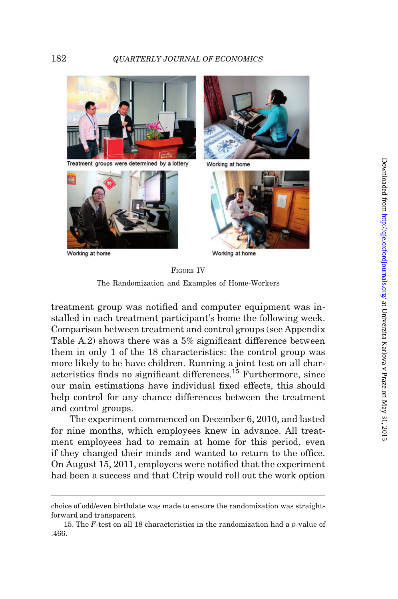<span id="page-17-0"></span>



Working at home



Working at home



Working at home

FIGURE IV The Randomization and Examples of Home-Workers

treatment group was notified and computer equipment was installed in each treatment participant's home the following week. Comparison between treatment and control groups (see [Appendix](#page-49-0) [Table A.2\)](#page-49-0) shows there was a 5% significant difference between them in only 1 of the 18 characteristics: the control group was more likely to be have children. Running a joint test on all characteristics finds no significant differences.<sup>15</sup> Furthermore, since our main estimations have individual fixed effects, this should help control for any chance differences between the treatment and control groups.

The experiment commenced on December 6, 2010, and lasted for nine months, which employees knew in advance. All treatment employees had to remain at home for this period, even if they changed their minds and wanted to return to the office. On August 15, 2011, employees were notified that the experiment had been a success and that Ctrip would roll out the work option

choice of odd/even birthdate was made to ensure the randomization was straightforward and transparent.

<sup>15.</sup> The F-test on all 18 characteristics in the randomization had a p-value of .466.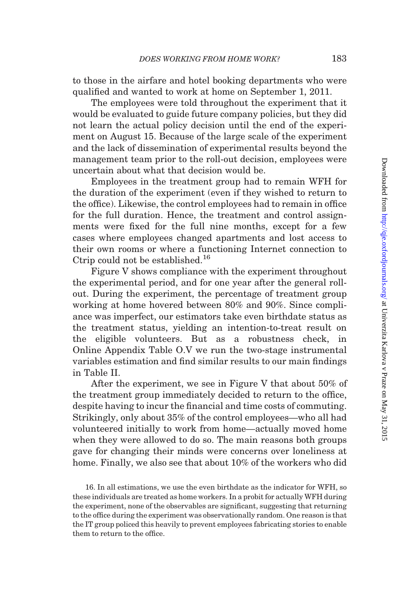to those in the airfare and hotel booking departments who were qualified and wanted to work at home on September 1, 2011.

The employees were told throughout the experiment that it would be evaluated to guide future company policies, but they did not learn the actual policy decision until the end of the experiment on August 15. Because of the large scale of the experiment and the lack of dissemination of experimental results beyond the management team prior to the roll-out decision, employees were uncertain about what that decision would be.

Employees in the treatment group had to remain WFH for the duration of the experiment (even if they wished to return to the office). Likewise, the control employees had to remain in office for the full duration. Hence, the treatment and control assignments were fixed for the full nine months, except for a few cases where employees changed apartments and lost access to their own rooms or where a functioning Internet connection to Ctrip could not be established.<sup>16</sup>

[Figure V](#page-19-0) shows compliance with the experiment throughout the experimental period, and for one year after the general rollout. During the experiment, the percentage of treatment group working at home hovered between 80% and 90%. Since compliance was imperfect, our estimators take even birthdate status as the treatment status, yielding an intention-to-treat result on the eligible volunteers. But as a robustness check, in [Online Appendix Table O.V](http://qje.oxfordjournals.org/lookup/suppl/doi:10.1093/qje/qju032/-/DC1) we run the two-stage instrumental variables estimation and find similar results to our main findings in [Table II.](#page-22-0)

After the experiment, we see in [Figure V](#page-19-0) that about 50% of the treatment group immediately decided to return to the office, despite having to incur the financial and time costs of commuting. Strikingly, only about 35% of the control employees—who all had volunteered initially to work from home—actually moved home when they were allowed to do so. The main reasons both groups gave for changing their minds were concerns over loneliness at home. Finally, we also see that about 10% of the workers who did

16. In all estimations, we use the even birthdate as the indicator for WFH, so these individuals are treated as home workers. In a probit for actually WFH during the experiment, none of the observables are significant, suggesting that returning to the office during the experiment was observationally random. One reason is that the IT group policed this heavily to prevent employees fabricating stories to enable them to return to the office.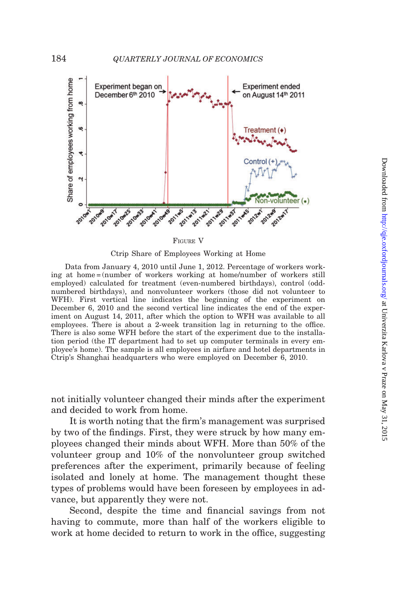<span id="page-19-0"></span>

FIGURE V

Ctrip Share of Employees Working at Home

Data from January 4, 2010 until June 1, 2012. Percentage of workers working at home = (number of workers working at home/number of workers still employed) calculated for treatment (even-numbered birthdays), control (oddnumbered birthdays), and nonvolunteer workers (those did not volunteer to WFH). First vertical line indicates the beginning of the experiment on December 6, 2010 and the second vertical line indicates the end of the experiment on August 14, 2011, after which the option to WFH was available to all employees. There is about a 2-week transition lag in returning to the office. There is also some WFH before the start of the experiment due to the installation period (the IT department had to set up computer terminals in every employee's home). The sample is all employees in airfare and hotel departments in Ctrip's Shanghai headquarters who were employed on December 6, 2010.

not initially volunteer changed their minds after the experiment and decided to work from home.

It is worth noting that the firm's management was surprised by two of the findings. First, they were struck by how many employees changed their minds about WFH. More than 50% of the volunteer group and 10% of the nonvolunteer group switched preferences after the experiment, primarily because of feeling isolated and lonely at home. The management thought these types of problems would have been foreseen by employees in advance, but apparently they were not.

Second, despite the time and financial savings from not having to commute, more than half of the workers eligible to work at home decided to return to work in the office, suggesting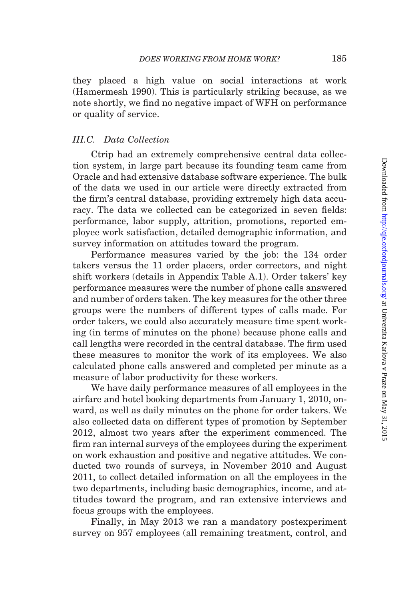they placed a high value on social interactions at work [\(Hamermesh 1990](#page-53-0)). This is particularly striking because, as we note shortly, we find no negative impact of WFH on performance or quality of service.

# III.C. Data Collection

Ctrip had an extremely comprehensive central data collection system, in large part because its founding team came from Oracle and had extensive database software experience. The bulk of the data we used in our article were directly extracted from the firm's central database, providing extremely high data accuracy. The data we collected can be categorized in seven fields: performance, labor supply, attrition, promotions, reported employee work satisfaction, detailed demographic information, and survey information on attitudes toward the program.

Performance measures varied by the job: the 134 order takers versus the 11 order placers, order correctors, and night shift workers (details in [Appendix Table A.1\)](#page-48-0). Order takers' key performance measures were the number of phone calls answered and number of orders taken. The key measures for the other three groups were the numbers of different types of calls made. For order takers, we could also accurately measure time spent working (in terms of minutes on the phone) because phone calls and call lengths were recorded in the central database. The firm used these measures to monitor the work of its employees. We also calculated phone calls answered and completed per minute as a measure of labor productivity for these workers.

We have daily performance measures of all employees in the airfare and hotel booking departments from January 1, 2010, onward, as well as daily minutes on the phone for order takers. We also collected data on different types of promotion by September 2012, almost two years after the experiment commenced. The firm ran internal surveys of the employees during the experiment on work exhaustion and positive and negative attitudes. We conducted two rounds of surveys, in November 2010 and August 2011, to collect detailed information on all the employees in the two departments, including basic demographics, income, and attitudes toward the program, and ran extensive interviews and focus groups with the employees.

Finally, in May 2013 we ran a mandatory postexperiment survey on 957 employees (all remaining treatment, control, and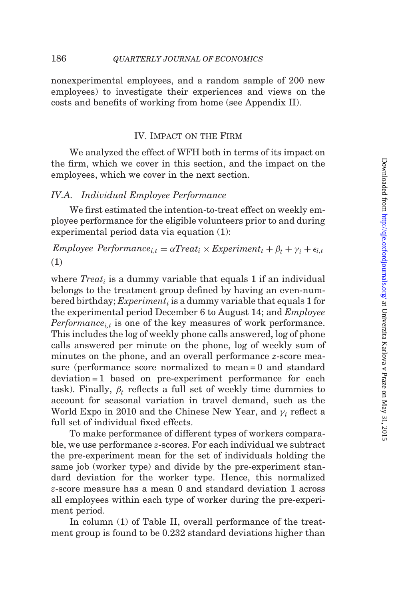nonexperimental employees, and a random sample of 200 new employees) to investigate their experiences and views on the costs and benefits of working from home (see Appendix II).

# IV. Impact on the Firm

We analyzed the effect of WFH both in terms of its impact on the firm, which we cover in this section, and the impact on the employees, which we cover in the next section.

# IV.A. Individual Employee Performance

We first estimated the intention-to-treat effect on weekly employee performance for the eligible volunteers prior to and during experimental period data via equation (1):

Employee Performance<sub>ist</sub> =  $\alpha Treat_i \times Experiment_i + \beta_t + \gamma_i + \epsilon_{i,t}$  $(1)$ 

where  $Treat_i$  is a dummy variable that equals 1 if an individual belongs to the treatment group defined by having an even-numbered birthday; Experiment<sub>t</sub> is a dummy variable that equals 1 for the experimental period December 6 to August 14; and Employee *Performance*<sub>it</sub> is one of the key measures of work performance. This includes the log of weekly phone calls answered, log of phone calls answered per minute on the phone, log of weekly sum of minutes on the phone, and an overall performance *z*-score measure (performance score normalized to mean = 0 and standard deviation = 1 based on pre-experiment performance for each task). Finally,  $\beta_t$  reflects a full set of weekly time dummies to account for seasonal variation in travel demand, such as the World Expo in 2010 and the Chinese New Year, and  $\gamma_i$  reflect a full set of individual fixed effects.

To make performance of different types of workers comparable, we use performance z-scores. For each individual we subtract the pre-experiment mean for the set of individuals holding the same job (worker type) and divide by the pre-experiment standard deviation for the worker type. Hence, this normalized z-score measure has a mean 0 and standard deviation 1 across all employees within each type of worker during the pre-experiment period.

In column (1) of [Table II](#page-22-0), overall performance of the treatment group is found to be 0.232 standard deviations higher than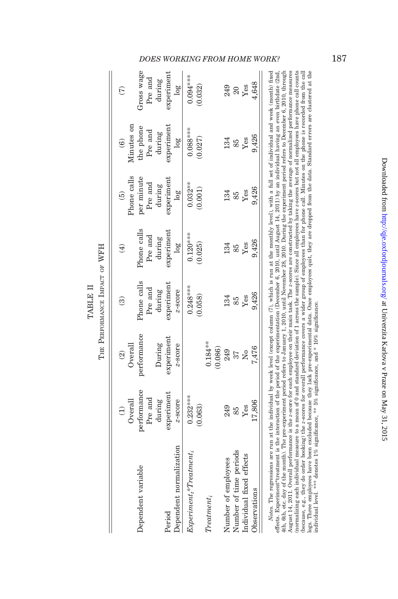|          | Ę        |
|----------|----------|
|          | Ğ,<br>Ř  |
| TABLE II | Ċ<br>٩A۲ |
|          | ≓        |

<span id="page-22-0"></span>

|                                     | Overall<br>$\bigoplus$           | Overall<br>$\widehat{\mathfrak{D}}$ | ල                                | ਚੁ                               | Phone calls<br>$\widehat{e}$                 | Minutes on<br>$\widehat{\mathbf{e}}$   |                                 |
|-------------------------------------|----------------------------------|-------------------------------------|----------------------------------|----------------------------------|----------------------------------------------|----------------------------------------|---------------------------------|
| Dependent variable                  | performance<br>Pre and<br>during | performance<br>During               | Phone calls<br>Pre and<br>during | Phone calls<br>Pre and<br>during | per minute<br>Pre $\quad$ and $\quad$ during | the phone<br>Pre $\mathrm{and}$ during | Gross wage<br>Pre and<br>during |
| Dependent normalization<br>Period   | experiment<br>z-score            | experiment<br>z-score               | experiment<br>z-score            | experiment<br>10g                | <b>xperiment</b><br>$\log$                   | experiment<br>log <sub>o</sub>         | experiment<br>$\log$            |
| $\emph{Experiment,*} The at ment_i$ | $0.232***$<br>0.063)             |                                     | $0.248***$<br>0.058              | $0.120***$<br>0.025)             | $0.032**$<br>0.001)                          | 0.088***<br>0.027)                     | $0.094***$<br>0.032)            |
| $Treatment_i$                       |                                  | $0.184***$<br>(0.086)               |                                  |                                  |                                              |                                        |                                 |
| Number of employees                 | 249                              | 249                                 | 134                              | 134                              | 134                                          | 134                                    | 249                             |
| Number of time periods              | 85                               | 37                                  | 85                               | 85                               | 85                                           | 85                                     | 20                              |
| Individual fixed effects            | Yes                              | $\overline{N}$                      | Yes                              | Yes                              | ${\it Yes}$                                  | $\mathbf{Yes}$                         | Yes                             |
| Joservations                        | 17,806                           | 1,476                               | 9,426                            | 9,426                            | 9,426                                        | 9,426                                  | 4,648                           |

logs. Three employees have been excluded because they lack pre-experimental data. Once employees quit, they are dropped from the data. Standard errors are clustered at the individual level. \*\*\* denotes 1% significance, and (normalizing each individual measure to a mean of 0 and standard deviation of 1 across the sample). Since all employees have z-scores but not all employees phone call counts Notes. The regressions are run at the individual by week level (except column (7), which is run at the monthly level), with a full set of individual and week (month) fixed effects. Experiment\*treatment is the interaction of the period of the experimentation (December 6, 2010, until August 14, 2011) by an individual having an even birthdate (2nd, 4th, 6th, etc. day of the month). The pre-experiment period refers to January 1, 2010, until November 28, 2010. During the experiment period refers to December 6, 2010, through August 14, 2011. Overall performance is the z-score for each employee on their main task. The z-scores are constructed by taking the average of normalized performance measures (because, e.g., they do order booking) the z-scores for overall performance covers a wider group of employees than for phone call. Minutes on the phone is recorded from the call Notes. The regressions are run at the individual by week level (except column (7), which is run at the monthly level), with a full set of individual and week (month) fixed effects. Experiment\*treatment is the interaction of the period of the experimentation (December 6, 2010, until August 14, 2011) by an individual having an even birthdate (2nd, 4th, 6th, etc. day of the month). The pre-experiment period refers to January 1, 2010, until November 28, 2010. During the experiment period refers to December 6, 2010, through August 14, 2011. Overall performance is the z-score for each employee on their main task. The z-scores are constructed by taking the average of normalized performance measures (normalizing each individual measure to a mean of 0 and standard deviation of 1 across the sample). Since all employees have z-scores but not all employees have phone call counts (because, e.g., they do order booking) the z-scores for overall performance covers a wider group of employees than for phone call. Minutes on the phone is recorded from the call logs. Three employees have been excluded because they lack pre-experimental data. Once employees quit, they are dropped from the data. Standard errors are clustered at the individual level. \*\*\* denotes 1% significance, \*\* 5% significance, and \* 10% significance.

# DOES WORKING FROM HOME WORK? 187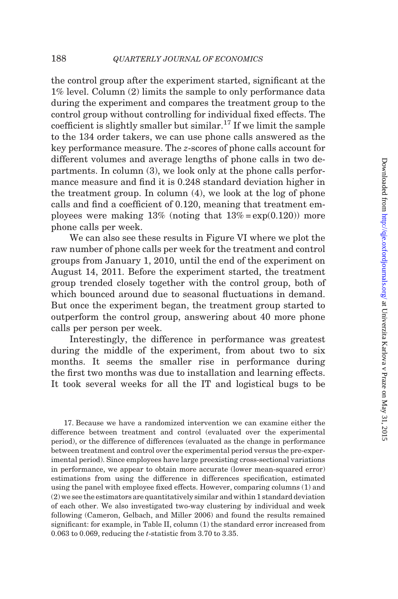the control group after the experiment started, significant at the 1% level. Column (2) limits the sample to only performance data during the experiment and compares the treatment group to the control group without controlling for individual fixed effects. The coefficient is slightly smaller but similar.<sup>17</sup> If we limit the sample to the 134 order takers, we can use phone calls answered as the key performance measure. The z-scores of phone calls account for different volumes and average lengths of phone calls in two departments. In column (3), we look only at the phone calls performance measure and find it is 0.248 standard deviation higher in the treatment group. In column (4), we look at the log of phone calls and find a coefficient of 0.120, meaning that treatment employees were making  $13\%$  (noting that  $13\% = \exp(0.120)$ ) more phone calls per week.

We can also see these results in [Figure VI](#page-24-0) where we plot the raw number of phone calls per week for the treatment and control groups from January 1, 2010, until the end of the experiment on August 14, 2011. Before the experiment started, the treatment group trended closely together with the control group, both of which bounced around due to seasonal fluctuations in demand. But once the experiment began, the treatment group started to outperform the control group, answering about 40 more phone calls per person per week.

Interestingly, the difference in performance was greatest during the middle of the experiment, from about two to six months. It seems the smaller rise in performance during the first two months was due to installation and learning effects. It took several weeks for all the IT and logistical bugs to be

17. Because we have a randomized intervention we can examine either the difference between treatment and control (evaluated over the experimental period), or the difference of differences (evaluated as the change in performance between treatment and control over the experimental period versus the pre-experimental period). Since employees have large preexisting cross-sectional variations in performance, we appear to obtain more accurate (lower mean-squared error) estimations from using the difference in differences specification, estimated using the panel with employee fixed effects. However, comparing columns (1) and (2) we see the estimators are quantitatively similar and within 1 standard deviation of each other. We also investigated two-way clustering by individual and week following [\(Cameron, Gelbach, and Miller 2006](#page-52-0)) and found the results remained significant: for example, in [Table II,](#page-22-0) column (1) the standard error increased from 0.063 to 0.069, reducing the t-statistic from 3.70 to 3.35.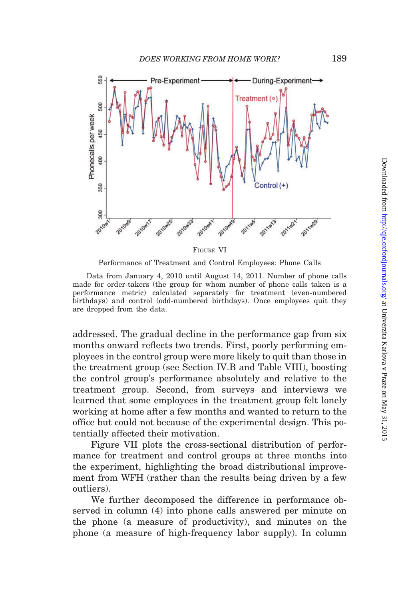<span id="page-24-0"></span>

Performance of Treatment and Control Employees: Phone Calls

Data from January 4, 2010 until August 14, 2011. Number of phone calls made for order-takers (the group for whom number of phone calls taken is a performance metric) calculated separately for treatment (even-numbered birthdays) and control (odd-numbered birthdays). Once employees quit they are dropped from the data.

addressed. The gradual decline in the performance gap from six months onward reflects two trends. First, poorly performing employees in the control group were more likely to quit than those in the treatment group (see Section IV.B and [Table VIII\)](#page-39-0), boosting the control group's performance absolutely and relative to the treatment group. Second, from surveys and interviews we learned that some employees in the treatment group felt lonely working at home after a few months and wanted to return to the office but could not because of the experimental design. This potentially affected their motivation.

[Figure VII](#page-25-0) plots the cross-sectional distribution of performance for treatment and control groups at three months into the experiment, highlighting the broad distributional improvement from WFH (rather than the results being driven by a few outliers).

We further decomposed the difference in performance observed in column (4) into phone calls answered per minute on the phone (a measure of productivity), and minutes on the phone (a measure of high-frequency labor supply). In column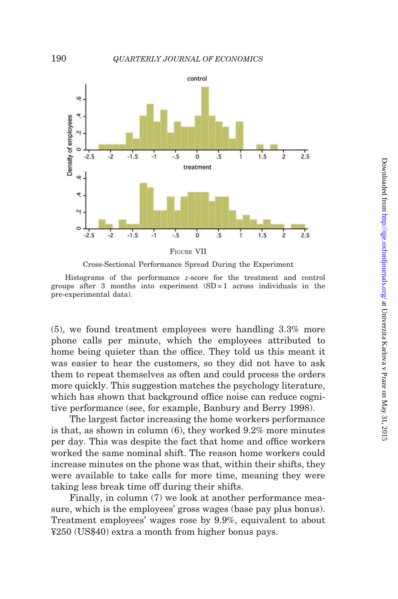<span id="page-25-0"></span>



Histograms of the performance z-score for the treatment and control groups after 3 months into experiment  $(SD=1)$  across individuals in the pre-experimental data).

(5), we found treatment employees were handling 3.3% more phone calls per minute, which the employees attributed to home being quieter than the office. They told us this meant it was easier to hear the customers, so they did not have to ask them to repeat themselves as often and could process the orders more quickly. This suggestion matches the psychology literature, which has shown that background office noise can reduce cognitive performance (see, for example, [Banbury and Berry 1998](#page-52-0)).

The largest factor increasing the home workers performance is that, as shown in column (6), they worked 9.2% more minutes per day. This was despite the fact that home and office workers worked the same nominal shift. The reason home workers could increase minutes on the phone was that, within their shifts, they were available to take calls for more time, meaning they were taking less break time off during their shifts.

Finally, in column (7) we look at another performance measure, which is the employees' gross wages (base pay plus bonus). Treatment employees' wages rose by 9.9%, equivalent to about ¥250 (US\$40) extra a month from higher bonus pays.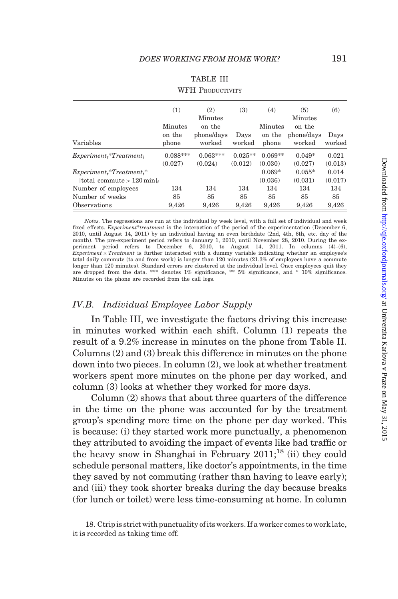|                                | (1)        | (2)<br>Minutes | (3)       | (4)       | (5)<br>Minutes | (6)     |
|--------------------------------|------------|----------------|-----------|-----------|----------------|---------|
|                                | Minutes    | on the         |           | Minutes   | on the         |         |
|                                | on the     | phone/days     | Days      | on the    | phone/days     | Days    |
| Variables                      | phone      | worked         | worked    | phone     | worked         | worked  |
| $Experiment_t^* Treatment_t$   | $0.088***$ | $0.063***$     | $0.025**$ | $0.069**$ | $0.049*$       | 0.021   |
|                                | (0.027)    | (0.024)        | (0.012)   | (0.030)   | (0.027)        | (0.013) |
| $Experiment_t^* Treatment_i^*$ |            |                |           | $0.069*$  | $0.055*$       | 0.014   |
| [total commute $> 120$ min]    |            |                |           | (0.036)   | (0.031)        | (0.017) |
| Number of employees            | 134        | 134            | 134       | 134       | 134            | 134     |
| Number of weeks                | 85         | 85             | 85        | 85        | 85             | 85      |
| Observations                   | 9.426      | 9.426          | 9,426     | 9.426     | 9.426          | 9.426   |

# TABLE III

#### WFH PRODUCTIVITY

Notes. The regressions are run at the individual by week level, with a full set of individual and week fixed effects. Experiment\*treatment is the interaction of the period of the experimentation (December 6, 2010, until August 14, 2011) by an individual having an even birthdate (2nd, 4th, 6th, etc. day of the month). The pre-experiment period refers to January 1, 2010, until November 28, 2010. During the ex-periment period refers to December 6, 2010, to August 14, 2011. In columns (4)–(6),  $Experiment \times Treatment$  is further interacted with a dummy variable indicating whether an employee's total daily commute (to and from work) is longer than 120 minutes (21.3% of employees have a commute longer than 120 minutes). Standard errors are clustered at the individual level. Once employees quit they are dropped from the data. \*\*\* denotes 1% significance, \*\* 5% significance, and \*  $10\%$  significance. Minutes on the phone are recorded from the call logs.

# IV.B. Individual Employee Labor Supply

In Table III, we investigate the factors driving this increase in minutes worked within each shift. Column (1) repeats the result of a 9.2% increase in minutes on the phone from [Table II.](#page-22-0) Columns (2) and (3) break this difference in minutes on the phone down into two pieces. In column (2), we look at whether treatment workers spent more minutes on the phone per day worked, and column (3) looks at whether they worked for more days.

Column (2) shows that about three quarters of the difference in the time on the phone was accounted for by the treatment group's spending more time on the phone per day worked. This is because: (i) they started work more punctually, a phenomenon they attributed to avoiding the impact of events like bad traffic or the heavy snow in Shanghai in February  $2011$ ;<sup>18</sup> (ii) they could schedule personal matters, like doctor's appointments, in the time they saved by not commuting (rather than having to leave early); and (iii) they took shorter breaks during the day because breaks (for lunch or toilet) were less time-consuming at home. In column

<sup>18.</sup> Ctrip is strict with punctuality of its workers. If a worker comes to work late, it is recorded as taking time off.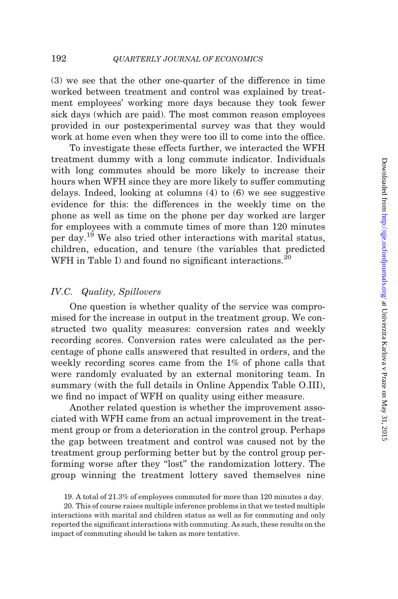(3) we see that the other one-quarter of the difference in time worked between treatment and control was explained by treatment employees' working more days because they took fewer sick days (which are paid). The most common reason employees provided in our postexperimental survey was that they would work at home even when they were too ill to come into the office.

To investigate these effects further, we interacted the WFH treatment dummy with a long commute indicator. Individuals with long commutes should be more likely to increase their hours when WFH since they are more likely to suffer commuting delays. Indeed, looking at columns (4) to (6) we see suggestive evidence for this: the differences in the weekly time on the phone as well as time on the phone per day worked are larger for employees with a commute times of more than 120 minutes per day.<sup>19</sup> We also tried other interactions with marital status, children, education, and tenure (the variables that predicted WFH in [Table I](#page-16-0)) and found no significant interactions.<sup>20</sup>

# IV.C. Quality, Spillovers

One question is whether quality of the service was compromised for the increase in output in the treatment group. We constructed two quality measures: conversion rates and weekly recording scores. Conversion rates were calculated as the percentage of phone calls answered that resulted in orders, and the weekly recording scores came from the 1% of phone calls that were randomly evaluated by an external monitoring team. In summary (with the full details in [Online Appendix Table O.III](http://qje.oxfordjournals.org/lookup/suppl/doi:10.1093/qje/qju032/-/DC1)), we find no impact of WFH on quality using either measure.

Another related question is whether the improvement associated with WFH came from an actual improvement in the treatment group or from a deterioration in the control group. Perhaps the gap between treatment and control was caused not by the treatment group performing better but by the control group performing worse after they "lost" the randomization lottery. The group winning the treatment lottery saved themselves nine

19. A total of 21.3% of employees commuted for more than 120 minutes a day.

20. This of course raises multiple inference problems in that we tested multiple interactions with marital and children status as well as for commuting and only reported the significant interactions with commuting. As such, these results on the impact of commuting should be taken as more tentative.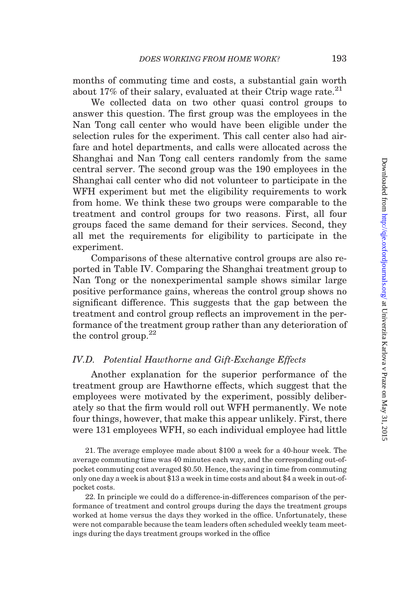months of commuting time and costs, a substantial gain worth about 17% of their salary, evaluated at their Ctrip wage rate. $^{21}$ 

We collected data on two other quasi control groups to answer this question. The first group was the employees in the Nan Tong call center who would have been eligible under the selection rules for the experiment. This call center also had airfare and hotel departments, and calls were allocated across the Shanghai and Nan Tong call centers randomly from the same central server. The second group was the 190 employees in the Shanghai call center who did not volunteer to participate in the WFH experiment but met the eligibility requirements to work from home. We think these two groups were comparable to the treatment and control groups for two reasons. First, all four groups faced the same demand for their services. Second, they all met the requirements for eligibility to participate in the experiment.

Comparisons of these alternative control groups are also reported in [Table IV](#page-29-0). Comparing the Shanghai treatment group to Nan Tong or the nonexperimental sample shows similar large positive performance gains, whereas the control group shows no significant difference. This suggests that the gap between the treatment and control group reflects an improvement in the performance of the treatment group rather than any deterioration of the control group. $^{22}$ 

# IV.D. Potential Hawthorne and Gift-Exchange Effects

Another explanation for the superior performance of the treatment group are Hawthorne effects, which suggest that the employees were motivated by the experiment, possibly deliberately so that the firm would roll out WFH permanently. We note four things, however, that make this appear unlikely. First, there were 131 employees WFH, so each individual employee had little

21. The average employee made about \$100 a week for a 40-hour week. The average commuting time was 40 minutes each way, and the corresponding out-ofpocket commuting cost averaged \$0.50. Hence, the saving in time from commuting only one day a week is about \$13 a week in time costs and about \$4 a week in out-ofpocket costs.

22. In principle we could do a difference-in-differences comparison of the performance of treatment and control groups during the days the treatment groups worked at home versus the days they worked in the office. Unfortunately, these were not comparable because the team leaders often scheduled weekly team meetings during the days treatment groups worked in the office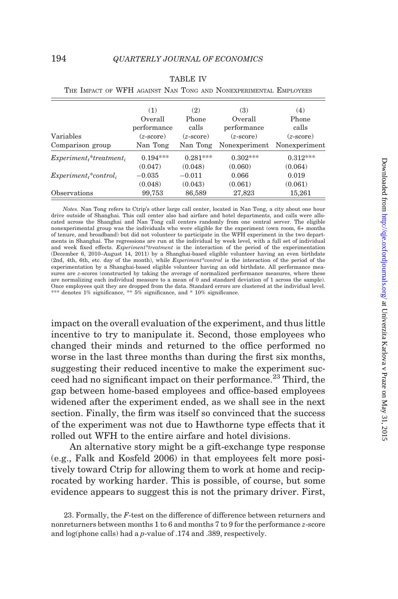| THE IMPACT OF WELL AGAINST INAN TONG AND INONEXPERIMENTAL PJMPLOYEES. |                    |                    |                    |                    |
|-----------------------------------------------------------------------|--------------------|--------------------|--------------------|--------------------|
|                                                                       | (1)                | (2)                | (3)                | (4)                |
|                                                                       | Overall            | Phone              | Overall            | Phone              |
|                                                                       | performance        | calls              | performance        | calls              |
| Variables                                                             | $(z\text{-score})$ | $(z\text{-score})$ | $(z\text{-score})$ | $(z\text{-score})$ |
| Comparison group                                                      | Nan Tong           | Nan Tong           | Nonexperiment      | Nonexperiment      |
| $Experimentt * treatmenti$                                            | $0.194***$         | $0.281***$         | $0.302***$         | $0.312***$         |
|                                                                       | (0.047)            | (0.048)            | (0.060)            | (0.064)            |
| $Experimenti* controli$                                               | $-0.035$           | $-0.011$           | 0.066              | 0.019              |
|                                                                       | (0.048)            | (0.043)            | (0.061)            | (0.061)            |
| Observations                                                          | 99,753             | 86,589             | 27,823             | 15,261             |

<span id="page-29-0"></span>

|  |  | <b>TABLE IV</b> |                                                                  |  |
|--|--|-----------------|------------------------------------------------------------------|--|
|  |  |                 | The Lenian on WEIL Laurent May Toya are Mormenancement Frey over |  |

| <i>Notes.</i> Nan Tong refers to Ctrip's other large call center, located in Nan Tong, a city about one hour                 |
|------------------------------------------------------------------------------------------------------------------------------|
| drive outside of Shanghai. This call center also had airfare and hotel departments, and calls were allo-                     |
| cated across the Shanghai and Nan Tong call centers randomly from one central server. The eligible                           |
| nonexperimental group was the individuals who were eligible for the experiment (own room, 6+ months                          |
| of tenure, and broadband) but did not volunteer to participate in the WFH experiment in the two depart-                      |
| ments in Shanghai. The regressions are run at the individual by week level, with a full set of individual                    |
| and week fixed effects. <i>Experiment</i> *treatment is the interaction of the period of the experimentation                 |
| (December 6, 2010–August 14, 2011) by a Shanghai-based eligible volunteer having an even birthdate                           |
| (2nd, 4th, 6th, etc. day of the month), while <i>Experiment</i> <sup>*</sup> control is the interaction of the period of the |
| experimentation by a Shanghai-based eligible volunteer having an odd birthdate. All performance mea-                         |
| sures are z-scores (constructed by taking the average of normalized performance measures, where these                        |
| are normalizing each individual measure to a mean of 0 and standard deviation of 1 across the sample).                       |
| Once employees quit they are dropped from the data. Standard errors are clustered at the individual level.                   |
| *** denotes $1\%$ significance, ** $5\%$ significance, and * $10\%$ significance.                                            |
|                                                                                                                              |

impact on the overall evaluation of the experiment, and thus little incentive to try to manipulate it. Second, those employees who changed their minds and returned to the office performed no worse in the last three months than during the first six months, suggesting their reduced incentive to make the experiment succeed had no significant impact on their performance.<sup>23</sup> Third, the gap between home-based employees and office-based employees widened after the experiment ended, as we shall see in the next section. Finally, the firm was itself so convinced that the success of the experiment was not due to Hawthorne type effects that it rolled out WFH to the entire airfare and hotel divisions.

An alternative story might be a gift-exchange type response (e.g., [Falk and Kosfeld 2006\)](#page-52-0) in that employees felt more positively toward Ctrip for allowing them to work at home and reciprocated by working harder. This is possible, of course, but some evidence appears to suggest this is not the primary driver. First,

<sup>23.</sup> Formally, the  $F$ -test on the difference of difference between returners and nonreturners between months 1 to 6 and months 7 to 9 for the performance z-score and log(phone calls) had a p-value of .174 and .389, respectively.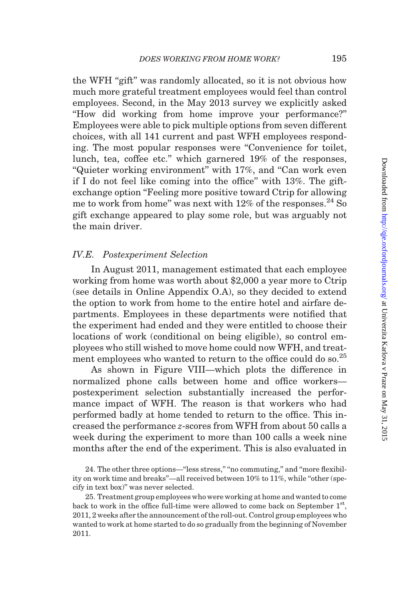the WFH "gift" was randomly allocated, so it is not obvious how much more grateful treatment employees would feel than control employees. Second, in the May 2013 survey we explicitly asked ''How did working from home improve your performance?'' Employees were able to pick multiple options from seven different choices, with all 141 current and past WFH employees responding. The most popular responses were ''Convenience for toilet, lunch, tea, coffee etc.'' which garnered 19% of the responses, ''Quieter working environment'' with 17%, and ''Can work even if I do not feel like coming into the office'' with 13%. The giftexchange option ''Feeling more positive toward Ctrip for allowing me to work from home" was next with  $12\%$  of the responses.<sup>24</sup> So gift exchange appeared to play some role, but was arguably not the main driver.

# IV.E. Postexperiment Selection

In August 2011, management estimated that each employee working from home was worth about \$2,000 a year more to Ctrip (see details in [Online Appendix O.A](http://qje.oxfordjournals.org/lookup/suppl/doi:10.1093/qje/qju032/-/DC1)), so they decided to extend the option to work from home to the entire hotel and airfare departments. Employees in these departments were notified that the experiment had ended and they were entitled to choose their locations of work (conditional on being eligible), so control employees who still wished to move home could now WFH, and treatment employees who wanted to return to the office could do so.<sup>25</sup>

As shown in [Figure VIII—](#page-31-0)which plots the difference in normalized phone calls between home and office workers postexperiment selection substantially increased the performance impact of WFH. The reason is that workers who had performed badly at home tended to return to the office. This increased the performance z-scores from WFH from about 50 calls a week during the experiment to more than 100 calls a week nine months after the end of the experiment. This is also evaluated in

24. The other three options—"less stress," "no commuting," and "more flexibility on work time and breaks''—all received between 10% to 11%, while ''other (specify in text box)'' was never selected.

25. Treatment group employees who were working at home and wanted to come back to work in the office full-time were allowed to come back on September  $1<sup>st</sup>$ , 2011, 2 weeks after the announcement of the roll-out. Control group employees who wanted to work at home started to do so gradually from the beginning of November 2011.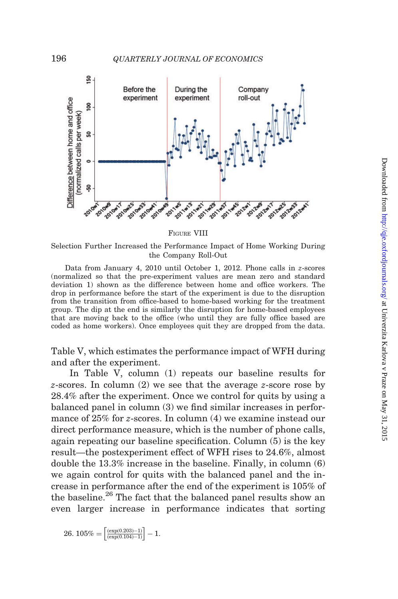<span id="page-31-0"></span>

FIGURE VIII

Selection Further Increased the Performance Impact of Home Working During the Company Roll-Out

Data from January 4, 2010 until October 1, 2012. Phone calls in z-scores (normalized so that the pre-experiment values are mean zero and standard deviation 1) shown as the difference between home and office workers. The drop in performance before the start of the experiment is due to the disruption from the transition from office-based to home-based working for the treatment group. The dip at the end is similarly the disruption for home-based employees that are moving back to the office (who until they are fully office based are coded as home workers). Once employees quit they are dropped from the data.

[Table V,](#page-32-0) which estimates the performance impact of WFH during and after the experiment.

In [Table V](#page-32-0), column (1) repeats our baseline results for z-scores. In column (2) we see that the average z-score rose by 28.4% after the experiment. Once we control for quits by using a balanced panel in column (3) we find similar increases in performance of 25% for z-scores. In column (4) we examine instead our direct performance measure, which is the number of phone calls, again repeating our baseline specification. Column (5) is the key result—the postexperiment effect of WFH rises to 24.6%, almost double the 13.3% increase in the baseline. Finally, in column (6) we again control for quits with the balanced panel and the increase in performance after the end of the experiment is 105% of the baseline.<sup>26</sup> The fact that the balanced panel results show an even larger increase in performance indicates that sorting

$$
26.\ 105\% = \left[\frac{(\exp(0.203) - 1)}{(\exp(0.104) - 1)}\right] - 1.
$$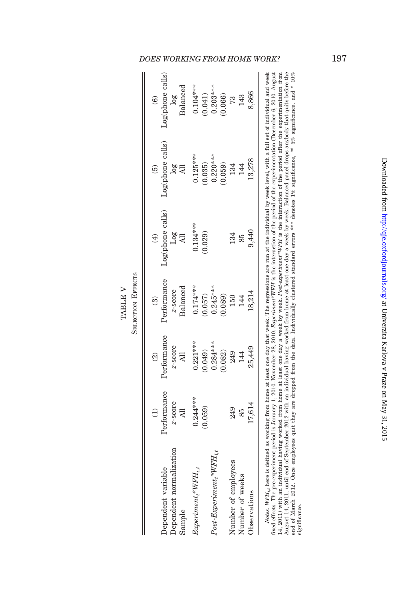|                                           |             |                |             |                  | ලි               |                   |
|-------------------------------------------|-------------|----------------|-------------|------------------|------------------|-------------------|
| Dependent variable                        | Performance | Performance    | Performance | Log(phone calls) | Log(phone calls) | Log(phone calls)  |
| Dependent normalization                   | z-score     | z-score        | z-score     | 108              | $\frac{8}{2}$    | 108               |
| Sample                                    | E           | $\overline{a}$ | Balanced    |                  |                  | $_{\rm Balanced}$ |
| $Experiment_i*WFH_{i,t}$                  | $0.244***$  | $0.221***$     | $0.174***$  | $0.134***$       | $0.125***$       | $0.104***$        |
|                                           | 0.059       | (0.049)        | 0.057)      | 0.029)           | 0.035)           | (0.041)           |
| $Post\text{-}Experiment, \text{*WFH}_{i}$ |             | $0.284***$     | $0.245***$  |                  | $0.220***$       | $0.203***$        |
|                                           |             | 0.082)         | 0.089)      |                  | 0.059)           | 0.066)            |
| Number of employees                       | 249         | 249            | 150         | 134              | 134              | 73                |
| Number of weeks                           | 85          | 144            | 144         | 85               | 144              | 143               |
| <b>b</b> servations                       | 17,614      | 25,449         | 18.214      | 9.440            | 13,278           | 8.866             |

TABLE V SELECTION EFFECTS

**SELECTION EFFECTS** TABLE V

# fixed effects. The pre-experiment period is January 1, 2010-November 26, 2010. Experiment<sup>8</sup>WFH is the interaction of the period of the experimentation (December 6, 2010-August 14, 2011) with an individual having worked from home at least one day a week by week. *Post-experiment*<sup>\*</sup>WFH is the interaction of the period after the experimentation from<br>August 14, 2011, until end of September 2012 wi fixed effects. The pre-experiment period is January 1, 2010–November 28, 2010. Experiment\*WFH is the interaction of the period of the experimentation (December 6, 2010–August 14, 2011) with an individual having worked from home at least one day a week by week. Post-experiment\*WFH is the interaction of the period after the experimentation from August 14, 2011, until end of September 2012 with an individual having worked from home at least one day a week by week. Balanced panel drops anybody that quits before the end of March 2012. Once employees quit they are dropped from the data. Individually clustered standard errors \*\*\* denotes 1% significance, \*\* 5% significance, and \* 10% significance. significance.

# <span id="page-32-0"></span>DOES WORKING FROM HOME WORK? 197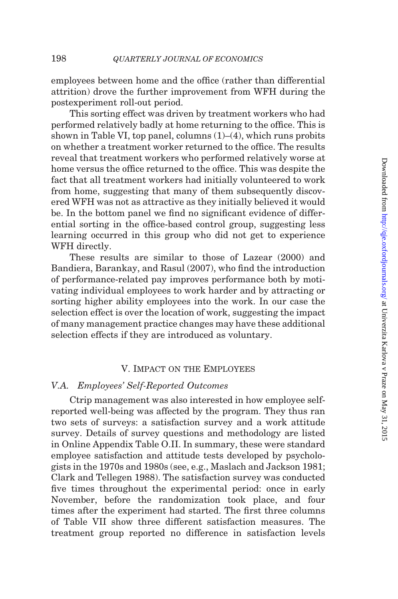employees between home and the office (rather than differential attrition) drove the further improvement from WFH during the postexperiment roll-out period.

This sorting effect was driven by treatment workers who had performed relatively badly at home returning to the office. This is shown in [Table VI](#page-34-0), top panel, columns  $(1)$ – $(4)$ , which runs probits on whether a treatment worker returned to the office. The results reveal that treatment workers who performed relatively worse at home versus the office returned to the office. This was despite the fact that all treatment workers had initially volunteered to work from home, suggesting that many of them subsequently discovered WFH was not as attractive as they initially believed it would be. In the bottom panel we find no significant evidence of differential sorting in the office-based control group, suggesting less learning occurred in this group who did not get to experience WFH directly.

These results are similar to those of [Lazear \(2000\)](#page-53-0) and [Bandiera, Barankay, and Rasul \(2007\)](#page-52-0), who find the introduction of performance-related pay improves performance both by motivating individual employees to work harder and by attracting or sorting higher ability employees into the work. In our case the selection effect is over the location of work, suggesting the impact of many management practice changes may have these additional selection effects if they are introduced as voluntary.

# V. Impact on the Employees

# V.A. Employees' Self-Reported Outcomes

Ctrip management was also interested in how employee selfreported well-being was affected by the program. They thus ran two sets of surveys: a satisfaction survey and a work attitude survey. Details of survey questions and methodology are listed in [Online Appendix Table O.II](http://qje.oxfordjournals.org/lookup/suppl/doi:10.1093/qje/qju032/-/DC1). In summary, these were standard employee satisfaction and attitude tests developed by psychologists in the 1970s and 1980s (see, e.g., [Maslach and Jackson 1981](#page-53-0); [Clark and Tellegen 1988\)](#page-52-0). The satisfaction survey was conducted five times throughout the experimental period: once in early November, before the randomization took place, and four times after the experiment had started. The first three columns of [Table VII](#page-38-0) show three different satisfaction measures. The treatment group reported no difference in satisfaction levels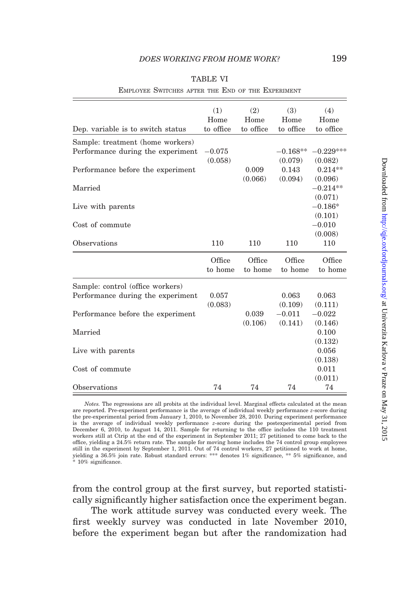<span id="page-34-0"></span>

| EMPLOYEE SWITCHES AFTER THE END OF THE EXPERIMENT                                                          |                          |                          |                                |                                     |
|------------------------------------------------------------------------------------------------------------|--------------------------|--------------------------|--------------------------------|-------------------------------------|
| Dep. variable is to switch status                                                                          | (1)<br>Home<br>to office | (2)<br>Home<br>to office | (3)<br>Home<br>to office       | (4)<br>Home<br>to office            |
| Sample: treatment (home workers)<br>Performance during the experiment<br>Performance before the experiment | $-0.075$<br>(0.058)      | 0.009                    | $-0.168**$<br>(0.079)<br>0.143 | $-0.229***$<br>(0.082)<br>$0.214**$ |
| Married                                                                                                    |                          | (0.066)                  | (0.094)                        | (0.096)<br>$-0.214**$<br>(0.071)    |
| Live with parents                                                                                          |                          |                          |                                | $-0.186*$<br>(0.101)                |
| Cost of commute<br>Observations                                                                            | 110                      | 110                      | 110                            | $-0.010$<br>(0.008)<br>110          |
|                                                                                                            | Office<br>to home        | Office<br>to home        | Office<br>to home              | Office<br>to home                   |
| Sample: control (office workers)<br>Performance during the experiment                                      | 0.057<br>(0.083)         |                          | 0.063<br>(0.109)               | 0.063<br>(0.111)                    |
| Performance before the experiment                                                                          |                          | 0.039<br>(0.106)         | $-0.011$<br>(0.141)            | $-0.022$<br>(0.146)                 |
| Married                                                                                                    |                          |                          |                                | 0.100<br>(0.132)<br>0.056           |
| Live with parents<br>Cost of commute                                                                       |                          |                          |                                | (0.138)<br>0.011                    |
| Observations                                                                                               | 74                       | 74                       | 74                             | (0.011)<br>74                       |

| г<br>L<br>г<br>` |  |
|------------------|--|
|                  |  |

EMPLOYEE SWITCHES AFTER THE END OF THE EXPERIMENT

from the control group at the first survey, but reported statistically significantly higher satisfaction once the experiment began.

The work attitude survey was conducted every week. The first weekly survey was conducted in late November 2010, before the experiment began but after the randomization had

Notes. The regressions are all probits at the individual level. Marginal effects calculated at the mean are reported. Pre-experiment performance is the average of individual weekly performance z-score during the pre-experimental period from January 1, 2010, to November 28, 2010. During experiment performance is the average of individual weekly performance z-score during the postexperimental period from December 6, 2010, to August 14, 2011. Sample for returning to the office includes the 110 treatment workers still at Ctrip at the end of the experiment in September 2011; 27 petitioned to come back to the office, yielding a 24.5% return rate. The sample for moving home includes the 74 control group employees still in the experiment by September 1, 2011. Out of 74 control workers, 27 petitioned to work at home, yielding a 36.5% join rate. Robust standard errors: \*\*\* denotes 1% significance, \*\* 5% significance, and  $10\%$  significance.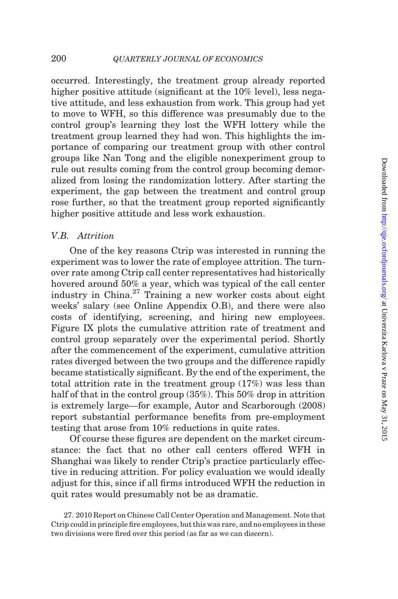occurred. Interestingly, the treatment group already reported higher positive attitude (significant at the 10% level), less negative attitude, and less exhaustion from work. This group had yet to move to WFH, so this difference was presumably due to the control group's learning they lost the WFH lottery while the treatment group learned they had won. This highlights the importance of comparing our treatment group with other control groups like Nan Tong and the eligible nonexperiment group to rule out results coming from the control group becoming demoralized from losing the randomization lottery. After starting the experiment, the gap between the treatment and control group rose further, so that the treatment group reported significantly higher positive attitude and less work exhaustion.

# V.B. Attrition

One of the key reasons Ctrip was interested in running the experiment was to lower the rate of employee attrition. The turnover rate among Ctrip call center representatives had historically hovered around 50% a year, which was typical of the call center industry in China. $27$  Training a new worker costs about eight weeks' salary (see [Online Appendix O.B\)](http://qje.oxfordjournals.org/lookup/suppl/doi:10.1093/qje/qju032/-/DC1), and there were also costs of identifying, screening, and hiring new employees. [Figure IX](#page-36-0) plots the cumulative attrition rate of treatment and control group separately over the experimental period. Shortly after the commencement of the experiment, cumulative attrition rates diverged between the two groups and the difference rapidly became statistically significant. By the end of the experiment, the total attrition rate in the treatment group (17%) was less than half of that in the control group (35%). This 50% drop in attrition is extremely large—for example, [Autor and Scarborough \(2008\)](#page-52-0) report substantial performance benefits from pre-employment testing that arose from 10% reductions in quite rates.

Of course these figures are dependent on the market circumstance: the fact that no other call centers offered WFH in Shanghai was likely to render Ctrip's practice particularly effective in reducing attrition. For policy evaluation we would ideally adjust for this, since if all firms introduced WFH the reduction in quit rates would presumably not be as dramatic.

27. 2010 Report on Chinese Call Center Operation and Management. Note that Ctrip could in principle fire employees, but this was rare, and no employees in these two divisions were fired over this period (as far as we can discern).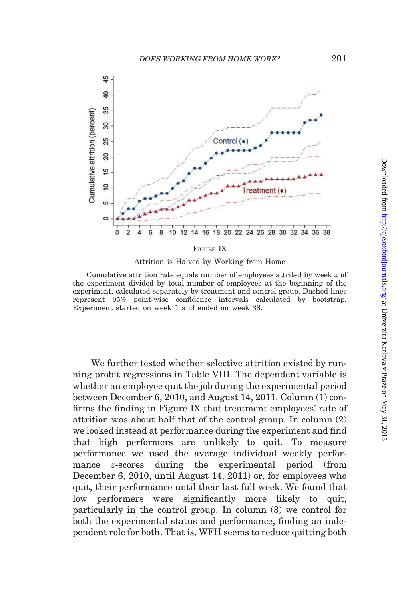<span id="page-36-0"></span>

Attrition is Halved by Working from Home

Cumulative attrition rate equals number of employees attrited by week  $x$  of the experiment divided by total number of employees at the beginning of the experiment, calculated separately by treatment and control group. Dashed lines represent 95% point-wise confidence intervals calculated by bootstrap. Experiment started on week 1 and ended on week 38.

We further tested whether selective attrition existed by running probit regressions in [Table VIII](#page-39-0). The dependent variable is whether an employee quit the job during the experimental period between December 6, 2010, and August 14, 2011. Column (1) confirms the finding in Figure IX that treatment employees' rate of attrition was about half that of the control group. In column (2) we looked instead at performance during the experiment and find that high performers are unlikely to quit. To measure performance we used the average individual weekly performance z-scores during the experimental period (from December 6, 2010, until August 14, 2011) or, for employees who quit, their performance until their last full week. We found that low performers were significantly more likely to quit, particularly in the control group. In column (3) we control for both the experimental status and performance, finding an independent role for both. That is, WFH seems to reduce quitting both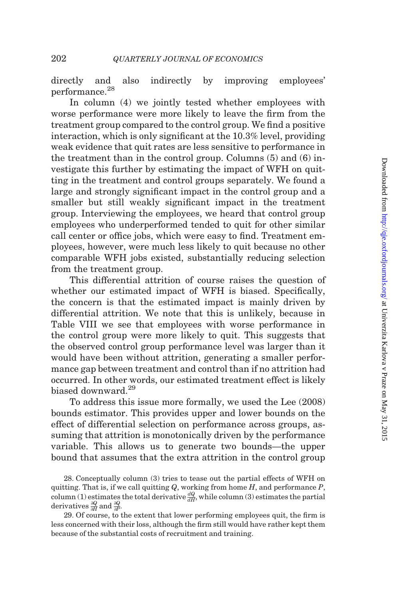directly and also indirectly by improving employees' performance.<sup>28</sup>

In column (4) we jointly tested whether employees with worse performance were more likely to leave the firm from the treatment group compared to the control group. We find a positive interaction, which is only significant at the 10.3% level, providing weak evidence that quit rates are less sensitive to performance in the treatment than in the control group. Columns (5) and (6) investigate this further by estimating the impact of WFH on quitting in the treatment and control groups separately. We found a large and strongly significant impact in the control group and a smaller but still weakly significant impact in the treatment group. Interviewing the employees, we heard that control group employees who underperformed tended to quit for other similar call center or office jobs, which were easy to find. Treatment employees, however, were much less likely to quit because no other comparable WFH jobs existed, substantially reducing selection from the treatment group.

This differential attrition of course raises the question of whether our estimated impact of WFH is biased. Specifically, the concern is that the estimated impact is mainly driven by differential attrition. We note that this is unlikely, because in [Table VIII](#page-39-0) we see that employees with worse performance in the control group were more likely to quit. This suggests that the observed control group performance level was larger than it would have been without attrition, generating a smaller performance gap between treatment and control than if no attrition had occurred. In other words, our estimated treatment effect is likely biased downward.<sup>29</sup>

To address this issue more formally, we used the [Lee \(2008\)](#page-53-0) bounds estimator. This provides upper and lower bounds on the effect of differential selection on performance across groups, assuming that attrition is monotonically driven by the performance variable. This allows us to generate two bounds—the upper bound that assumes that the extra attrition in the control group

28. Conceptually column (3) tries to tease out the partial effects of WFH on quitting. That is, if we call quitting  $Q$ , working from home  $H$ , and performance  $P$ , column (1) estimates the total derivative  $\frac{dQ}{dH}$ , while column (3) estimates the partial derivatives  $\frac{\partial Q}{\partial H}$  and  $\frac{\partial Q}{\partial P}$ .

29. Of course, to the extent that lower performing employees quit, the firm is less concerned with their loss, although the firm still would have rather kept them because of the substantial costs of recruitment and training.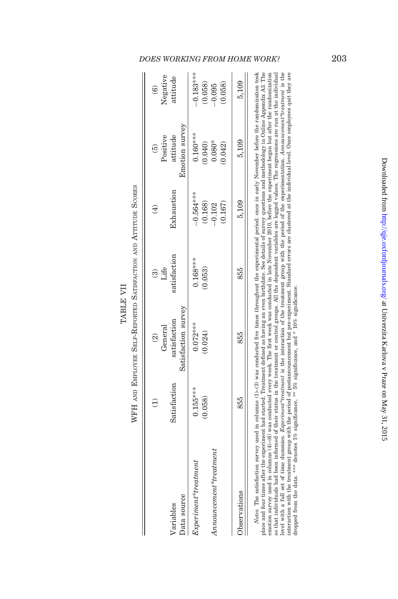|                                                                                                                                                                                                                                                                                                                                                                                                                                                                                                                                                         |              | General<br>$\widehat{\mathfrak{D}}$ | Life<br>ව    | ╤                   | Positive<br>ic)            | Negative<br>වෙ    |
|---------------------------------------------------------------------------------------------------------------------------------------------------------------------------------------------------------------------------------------------------------------------------------------------------------------------------------------------------------------------------------------------------------------------------------------------------------------------------------------------------------------------------------------------------------|--------------|-------------------------------------|--------------|---------------------|----------------------------|-------------------|
| Data source<br>Variables                                                                                                                                                                                                                                                                                                                                                                                                                                                                                                                                | Satisfaction | Satisfaction survey<br>satisfaction | satisfaction | Exhaustion          | Emotion survey<br>attitude | attitude          |
| $Experiments*treatment$                                                                                                                                                                                                                                                                                                                                                                                                                                                                                                                                 | $0.155***$   | $0.072***$                          | $0.168***$   | $-0.564***$         | $0.160***$                 | $-0.183***$       |
| An now remember it ``treatment                                                                                                                                                                                                                                                                                                                                                                                                                                                                                                                          | (0.058)      | (0.024)                             | 0.053)       | (0.168)<br>$-0.102$ | 0.080*<br>(0.040)          | 0.058<br>$-0.095$ |
|                                                                                                                                                                                                                                                                                                                                                                                                                                                                                                                                                         |              |                                     |              | (0.167)             | 0.042                      | 0.058)            |
| Observations                                                                                                                                                                                                                                                                                                                                                                                                                                                                                                                                            | 855          | 855                                 | 855          | 5.109               | 5.109                      | 5.109             |
| <i>Notes</i> . The satisfaction survey used in columns $(1)$ –(3) was conducted five times throughout the experimental period: once in early November before the randomization took<br>place and four times after the experiment had started. Treatment defined as having an even birthdate. See details of survey questions and methodology in Online Appendix A3. The<br>emotion survey used in columns (4)–(6) was conducted every week. The first week was conducted in late November 2010, before the experiment began but after the randomization |              |                                     |              |                     |                            |                   |

TABLE VII WFH AND EMPLOYEE SELF-REPORTED SATISFACTION AND ATTITUDE SCORES

WFH AND EMPLOYEE SELF-REPORTED SATISFACTION AND ATTITUDE SCORES TABLE VII

level with a full set of time dummies. *Experiment\*reatment* is the interaction of the treatment group with the period of the experimentation. *Announcement\*reatment* is the interaction with the treatment group with the pe so that individuals had been informed of their status in the treatment or control groups. All the dependent variables are logged values. The regressions are run at the individual emotion survey used in columns (4)–(6) was conducted every week. The first week was conducted in late November 2010, before the experiment began but after the randomization so that individuals had been informed of their status in the treatment or control groups. All the dependent variables are logged values. The regressions are run at the individual level with a full set of time dummies. *Experiment\*treatment* is the interaction of the treatment group with the period of the experimentation. Announcement\*treatment is the interaction with the treatment group with the period of postannouncement but pre-experiment. Standard errors are clustered at the individual level. Once employees quit they are dropped from the data. \*\*\* denotes 1% significance, \*\* 5% significance, and \* 10% significance.

# <span id="page-38-0"></span>DOES WORKING FROM HOME WORK? 203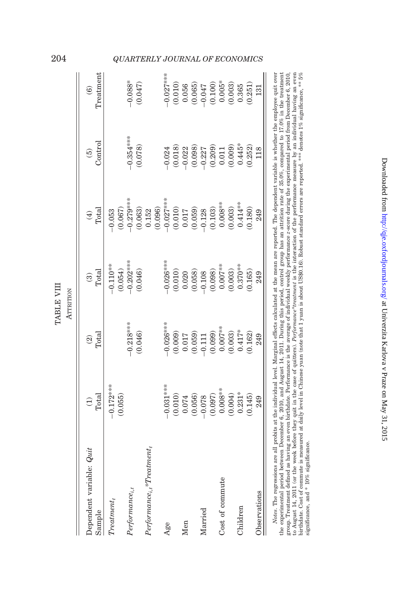| Dependent variable: Quit<br>Sample                      | Total<br>$\widehat{\Theta}$ | Total<br>$\widehat{\mathfrak{D}}$ | Total<br>ම            | Total<br>$\bigoplus$ | Control<br>$\widehat{5}$ | Treatment<br>$\widehat{\mathbf{e}}$ |
|---------------------------------------------------------|-----------------------------|-----------------------------------|-----------------------|----------------------|--------------------------|-------------------------------------|
| $Treatment_t$                                           | $-0.172***$<br>(0.055)      |                                   | $-0.110**$<br>(0.054) | (0.067)<br>$-0.053$  |                          |                                     |
| $Performance_{i,t}$                                     |                             | $-0.218***$                       | $-0.202***$           | $0.279***$           | $-0.354***$              | $-0.088*$                           |
|                                                         |                             | (0.046)                           | (0.046)               | (0.063)              | (0.078)                  | (0.047)                             |
| $Performance_{i.t} {\bf \text{\textit{*}}} Treatment_t$ |                             |                                   |                       | (0.096)<br>0.152     |                          |                                     |
| Age                                                     | $-0.031***$                 | $-0.026***$                       | $-0.026***$           | $-0.027***$          | $-0.024$                 | $-0.027***$                         |
|                                                         | (0.010)                     | (0.009)                           | (0.010)               | (0.010)              | (0.018)                  | (0.010)                             |
| Men                                                     | 0.074                       | 0.017                             | 0.020                 | $0.017$              | $-0.022$                 | 0.056                               |
|                                                         | (0.056)                     | (0.059)                           | (0.058)               | (0.059)              | (0.098)                  | (0.065)                             |
| Married                                                 | $-0.078$                    | 0.111                             | $-0.108$              | $-0.128$             | $-0.227$                 | 740.01                              |
|                                                         | (0.097)                     | (0.099)                           | (0.098)               | (0.103)              | (0.209)                  | (0.100)                             |
| Cost of commute                                         | $0.008***$                  | $0.007***$                        | $0.007***$            | $0.008***$           | 0.011                    | $0.005*$                            |
|                                                         | (0.004)                     | (0.003)                           | (0.003)               | (0.003)              | (0.009)                  | (0.003)                             |
| Children                                                | $0.231*$                    | $0.417*$                          | $0.370***$            | $0.414***$           | $0.445*$                 | 0.365                               |
|                                                         | 0.145                       | 0.162)                            | 0.165                 | 0.180)               | (0.252)                  | (0.251)                             |
| Observations                                            | 249                         | 249                               | 249                   | 249                  | 118                      | 131                                 |

group. Ireament demned as naving an even purtadate. Ferrormance is the average o murvidual weekly performance 2-score during the experimental period rion December 6, 2011 (or the steep of purincipal and even between the st group. Treatment defined as having an even birthdate. Performance is the average of individual weekly performance z-score during the experimental period from December 6, 2010, to August 14, 2011 (or the week before they quit in the case of quitters). Performance\*treatment is the interaction of the performance measure by an individual having an even birthdate. Cost of commute is measured at daily level in Chinese yuan (note that 1 yuan is about US\$0.16). Robust standard errors are reported. \*\*\* denotes 1% significance, \*\* 5% significance, and \* 10% significance.

TABLE VIII

TABLE VIII

# <span id="page-39-0"></span>204 QUARTERLY JOURNAL OF ECONOMICS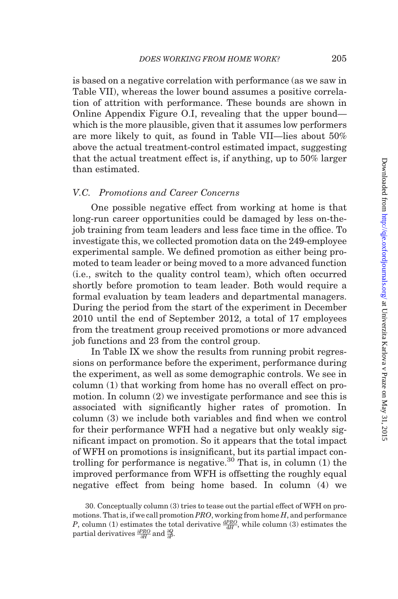is based on a negative correlation with performance (as we saw in [Table VII\)](#page-38-0), whereas the lower bound assumes a positive correlation of attrition with performance. These bounds are shown in [Online Appendix Figure O.I,](http://qje.oxfordjournals.org/lookup/suppl/doi:10.1093/qje/qju032/-/DC1) revealing that the upper bound which is the more plausible, given that it assumes low performers are more likely to quit, as found in [Table VII](#page-38-0)—lies about 50% above the actual treatment-control estimated impact, suggesting that the actual treatment effect is, if anything, up to 50% larger than estimated.

# V.C. Promotions and Career Concerns

One possible negative effect from working at home is that long-run career opportunities could be damaged by less on-thejob training from team leaders and less face time in the office. To investigate this, we collected promotion data on the 249-employee experimental sample. We defined promotion as either being promoted to team leader or being moved to a more advanced function (i.e., switch to the quality control team), which often occurred shortly before promotion to team leader. Both would require a formal evaluation by team leaders and departmental managers. During the period from the start of the experiment in December 2010 until the end of September 2012, a total of 17 employees from the treatment group received promotions or more advanced job functions and 23 from the control group.

In [Table IX](#page-41-0) we show the results from running probit regressions on performance before the experiment, performance during the experiment, as well as some demographic controls. We see in column (1) that working from home has no overall effect on promotion. In column (2) we investigate performance and see this is associated with significantly higher rates of promotion. In column (3) we include both variables and find when we control for their performance WFH had a negative but only weakly significant impact on promotion. So it appears that the total impact of WFH on promotions is insignificant, but its partial impact controlling for performance is negative. $30$  That is, in column (1) the improved performance from WFH is offsetting the roughly equal negative effect from being home based. In column (4) we

<sup>30.</sup> Conceptually column (3) tries to tease out the partial effect of WFH on promotions. That is, if we call promotion  $PRO$ , working from home H, and performance P, column (1) estimates the total derivative  $\frac{dPRO}{dH}$ , while column (3) estimates the partial derivatives  $\frac{\partial PRO}{\partial H}$  and  $\frac{\partial Q}{\partial P}$ .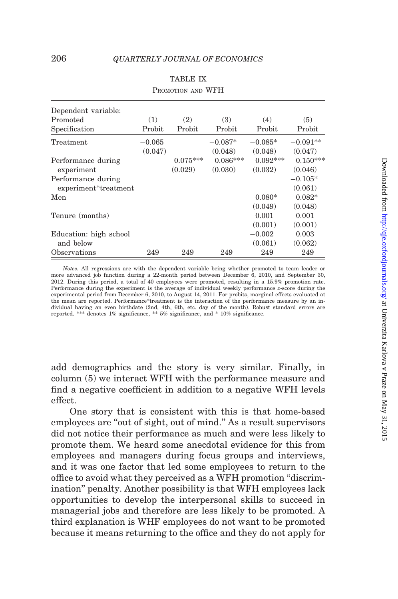<span id="page-41-0"></span>

| Dependent variable:    |          |            |            |            |            |
|------------------------|----------|------------|------------|------------|------------|
| Promoted               | (1)      | (2)        | (3)        | (4)        | (5)        |
| Specification          | Probit   | Probit     | Probit     | Probit     | Probit     |
| Treatment              | $-0.065$ |            | $-0.087*$  | $-0.085*$  | $-0.091**$ |
|                        | (0.047)  |            | (0.048)    | (0.048)    | (0.047)    |
| Performance during     |          | $0.075***$ | $0.086***$ | $0.092***$ | $0.150***$ |
| experiment             |          | (0.029)    | (0.030)    | (0.032)    | (0.046)    |
| Performance during     |          |            |            |            | $-0.105*$  |
| experiment*treatment   |          |            |            |            | (0.061)    |
| Men                    |          |            |            | $0.080*$   | $0.082*$   |
|                        |          |            |            | (0.049)    | (0.048)    |
| Tenure (months)        |          |            |            | 0.001      | 0.001      |
|                        |          |            |            | (0.001)    | (0.001)    |
| Education: high school |          |            |            | $-0.002$   | 0.003      |
| and below              |          |            |            | (0.061)    | (0.062)    |
| Observations           | 249      | 249        | 249        | 249        | 249        |

| <b>TABLE IX</b>   |  |
|-------------------|--|
| PROMOTION AND WFH |  |

Notes. All regressions are with the dependent variable being whether promoted to team leader or more advanced job function during a 22-month period between December 6, 2010, and September 30, 2012. During this period, a total of 40 employees were promoted, resulting in a 15.9% promotion rate. Performance during the experiment is the average of individual weekly performance z-score during the experimental period from December 6, 2010, to August 14, 2011. For probits, marginal effects evaluated at the mean are reported. Performance\*treatment is the interaction of the performance measure by an individual having an even birthdate (2nd, 4th, 6th, etc. day of the month). Robust standard errors are reported. \*\*\* denotes 1% significance, \*\* 5% significance, and \* 10% significance.

add demographics and the story is very similar. Finally, in column (5) we interact WFH with the performance measure and find a negative coefficient in addition to a negative WFH levels effect.

One story that is consistent with this is that home-based employees are "out of sight, out of mind." As a result supervisors did not notice their performance as much and were less likely to promote them. We heard some anecdotal evidence for this from employees and managers during focus groups and interviews, and it was one factor that led some employees to return to the office to avoid what they perceived as a WFH promotion ''discrimination'' penalty. Another possibility is that WFH employees lack opportunities to develop the interpersonal skills to succeed in managerial jobs and therefore are less likely to be promoted. A third explanation is WHF employees do not want to be promoted because it means returning to the office and they do not apply for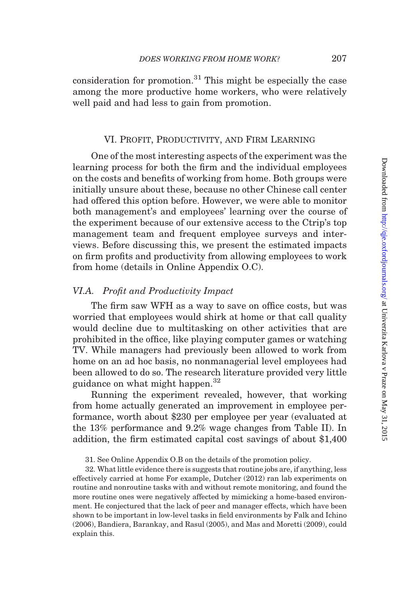consideration for promotion.<sup>31</sup> This might be especially the case among the more productive home workers, who were relatively well paid and had less to gain from promotion.

# VI. Profit, Productivity, and Firm Learning

One of the most interesting aspects of the experiment was the learning process for both the firm and the individual employees on the costs and benefits of working from home. Both groups were initially unsure about these, because no other Chinese call center had offered this option before. However, we were able to monitor both management's and employees' learning over the course of the experiment because of our extensive access to the Ctrip's top management team and frequent employee surveys and interviews. Before discussing this, we present the estimated impacts on firm profits and productivity from allowing employees to work from home (details in [Online Appendix O.C](http://qje.oxfordjournals.org/lookup/suppl/doi:10.1093/qje/qju032/-/DC1)).

# VI.A. Profit and Productivity Impact

The firm saw WFH as a way to save on office costs, but was worried that employees would shirk at home or that call quality would decline due to multitasking on other activities that are prohibited in the office, like playing computer games or watching TV. While managers had previously been allowed to work from home on an ad hoc basis, no nonmanagerial level employees had been allowed to do so. The research literature provided very little guidance on what might happen.<sup>32</sup>

Running the experiment revealed, however, that working from home actually generated an improvement in employee performance, worth about \$230 per employee per year (evaluated at the 13% performance and 9.2% wage changes from [Table II\)](#page-22-0). In addition, the firm estimated capital cost savings of about \$1,400

31. See [Online Appendix O.B](http://qje.oxfordjournals.org/lookup/suppl/doi:10.1093/qje/qju032/-/DC1) on the details of the promotion policy.

32. What little evidence there is suggests that routine jobs are, if anything, less effectively carried at home For example, [Dutcher \(2012\)](#page-52-0) ran lab experiments on routine and nonroutine tasks with and without remote monitoring, and found the more routine ones were negatively affected by mimicking a home-based environment. He conjectured that the lack of peer and manager effects, which have been shown to be important in low-level tasks in field environments by [Falk and Ichino](#page-52-0) [\(2006\), Bandiera, Barankay, and Rasul \(2005\)](#page-52-0), and [Mas and Moretti \(2009\),](#page-53-0) could explain this.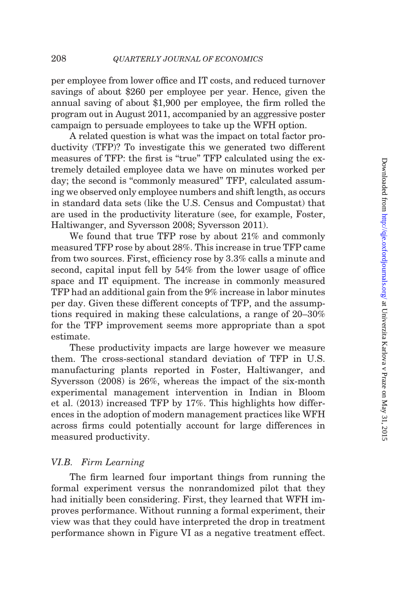per employee from lower office and IT costs, and reduced turnover savings of about \$260 per employee per year. Hence, given the annual saving of about \$1,900 per employee, the firm rolled the program out in August 2011, accompanied by an aggressive poster campaign to persuade employees to take up the WFH option.

A related question is what was the impact on total factor productivity (TFP)? To investigate this we generated two different measures of TFP: the first is "true" TFP calculated using the extremely detailed employee data we have on minutes worked per day; the second is "commonly measured" TFP, calculated assuming we observed only employee numbers and shift length, as occurs in standard data sets (like the U.S. Census and Compustat) that are used in the productivity literature (see, for example, [Foster,](#page-52-0) [Haltiwanger, and Syversson 2008;](#page-52-0) [Syversson 2011\)](#page-53-0).

We found that true TFP rose by about 21% and commonly measured TFP rose by about 28%. This increase in true TFP came from two sources. First, efficiency rose by 3.3% calls a minute and second, capital input fell by 54% from the lower usage of office space and IT equipment. The increase in commonly measured TFP had an additional gain from the 9% increase in labor minutes per day. Given these different concepts of TFP, and the assumptions required in making these calculations, a range of 20–30% for the TFP improvement seems more appropriate than a spot estimate.

These productivity impacts are large however we measure them. The cross-sectional standard deviation of TFP in U.S. manufacturing plants reported in [Foster, Haltiwanger, and](#page-52-0) [Syversson \(2008\)](#page-52-0) is 26%, whereas the impact of the six-month experimental management intervention in Indian in [Bloom](#page-52-0) [et al. \(2013\)](#page-52-0) increased TFP by 17%. This highlights how differences in the adoption of modern management practices like WFH across firms could potentially account for large differences in measured productivity.

# VI.B. Firm Learning

The firm learned four important things from running the formal experiment versus the nonrandomized pilot that they had initially been considering. First, they learned that WFH improves performance. Without running a formal experiment, their view was that they could have interpreted the drop in treatment performance shown in [Figure VI](#page-24-0) as a negative treatment effect.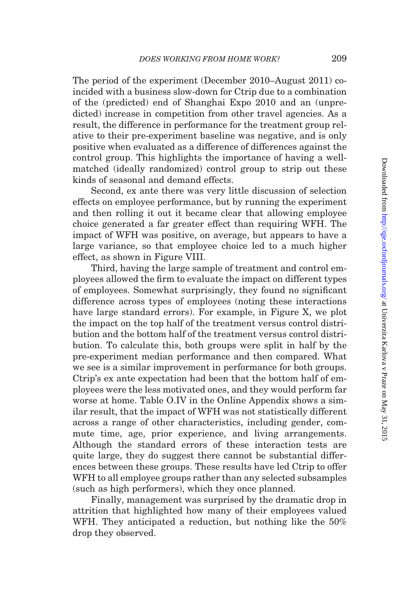The period of the experiment (December 2010–August 2011) coincided with a business slow-down for Ctrip due to a combination of the (predicted) end of Shanghai Expo 2010 and an (unpredicted) increase in competition from other travel agencies. As a result, the difference in performance for the treatment group relative to their pre-experiment baseline was negative, and is only positive when evaluated as a difference of differences against the control group. This highlights the importance of having a wellmatched (ideally randomized) control group to strip out these kinds of seasonal and demand effects.

Second, ex ante there was very little discussion of selection effects on employee performance, but by running the experiment and then rolling it out it became clear that allowing employee choice generated a far greater effect than requiring WFH. The impact of WFH was positive, on average, but appears to have a large variance, so that employee choice led to a much higher effect, as shown in [Figure VIII](#page-31-0).

Third, having the large sample of treatment and control employees allowed the firm to evaluate the impact on different types of employees. Somewhat surprisingly, they found no significant difference across types of employees (noting these interactions have large standard errors). For example, in [Figure X,](#page-45-0) we plot the impact on the top half of the treatment versus control distribution and the bottom half of the treatment versus control distribution. To calculate this, both groups were split in half by the pre-experiment median performance and then compared. What we see is a similar improvement in performance for both groups. Ctrip's ex ante expectation had been that the bottom half of employees were the less motivated ones, and they would perform far worse at home. [Table O.IV](http://qje.oxfordjournals.org/lookup/suppl/doi:10.1093/qje/qju032/-/DC1) in the [Online Appendix](http://qje.oxfordjournals.org/lookup/suppl/doi:10.1093/qje/qju032/-/DC1) shows a similar result, that the impact of WFH was not statistically different across a range of other characteristics, including gender, commute time, age, prior experience, and living arrangements. Although the standard errors of these interaction tests are quite large, they do suggest there cannot be substantial differences between these groups. These results have led Ctrip to offer WFH to all employee groups rather than any selected subsamples (such as high performers), which they once planned.

Finally, management was surprised by the dramatic drop in attrition that highlighted how many of their employees valued WFH. They anticipated a reduction, but nothing like the 50% drop they observed.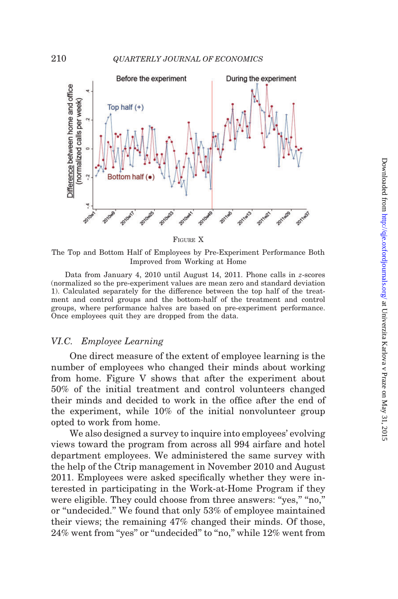<span id="page-45-0"></span>

FIGURE X

The Top and Bottom Half of Employees by Pre-Experiment Performance Both Improved from Working at Home

Data from January 4, 2010 until August 14, 2011. Phone calls in z-scores (normalized so the pre-experiment values are mean zero and standard deviation 1). Calculated separately for the difference between the top half of the treatment and control groups and the bottom-half of the treatment and control groups, where performance halves are based on pre-experiment performance. Once employees quit they are dropped from the data.

# VI.C. Employee Learning

One direct measure of the extent of employee learning is the number of employees who changed their minds about working from home. [Figure V](#page-19-0) shows that after the experiment about 50% of the initial treatment and control volunteers changed their minds and decided to work in the office after the end of the experiment, while 10% of the initial nonvolunteer group opted to work from home.

We also designed a survey to inquire into employees' evolving views toward the program from across all 994 airfare and hotel department employees. We administered the same survey with the help of the Ctrip management in November 2010 and August 2011. Employees were asked specifically whether they were interested in participating in the Work-at-Home Program if they were eligible. They could choose from three answers: "yes," "no," or ''undecided.'' We found that only 53% of employee maintained their views; the remaining 47% changed their minds. Of those, 24% went from "yes" or "undecided" to "no," while 12% went from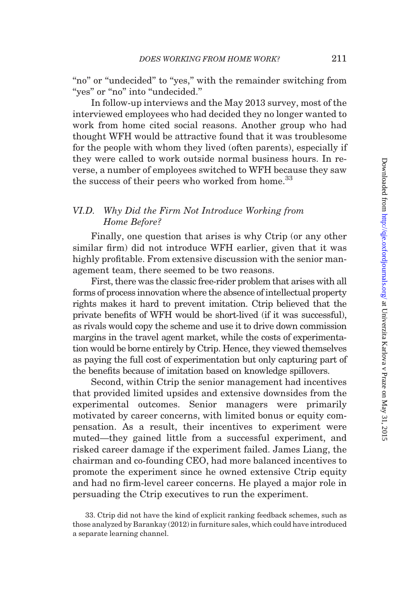"no" or "undecided" to "yes," with the remainder switching from "yes" or "no" into "undecided."

In follow-up interviews and the May 2013 survey, most of the interviewed employees who had decided they no longer wanted to work from home cited social reasons. Another group who had thought WFH would be attractive found that it was troublesome for the people with whom they lived (often parents), especially if they were called to work outside normal business hours. In reverse, a number of employees switched to WFH because they saw the success of their peers who worked from home.<sup>33</sup>

# VI.D. Why Did the Firm Not Introduce Working from Home Before?

Finally, one question that arises is why Ctrip (or any other similar firm) did not introduce WFH earlier, given that it was highly profitable. From extensive discussion with the senior management team, there seemed to be two reasons.

First, there was the classic free-rider problem that arises with all forms of process innovation where the absence of intellectual property rights makes it hard to prevent imitation. Ctrip believed that the private benefits of WFH would be short-lived (if it was successful), as rivals would copy the scheme and use it to drive down commission margins in the travel agent market, while the costs of experimentation would be borne entirely by Ctrip. Hence, they viewed themselves as paying the full cost of experimentation but only capturing part of the benefits because of imitation based on knowledge spillovers.

Second, within Ctrip the senior management had incentives that provided limited upsides and extensive downsides from the experimental outcomes. Senior managers were primarily motivated by career concerns, with limited bonus or equity compensation. As a result, their incentives to experiment were muted—they gained little from a successful experiment, and risked career damage if the experiment failed. James Liang, the chairman and co-founding CEO, had more balanced incentives to promote the experiment since he owned extensive Ctrip equity and had no firm-level career concerns. He played a major role in persuading the Ctrip executives to run the experiment.

<sup>33.</sup> Ctrip did not have the kind of explicit ranking feedback schemes, such as those analyzed by [Barankay \(2012\)](#page-52-0) in furniture sales, which could have introduced a separate learning channel.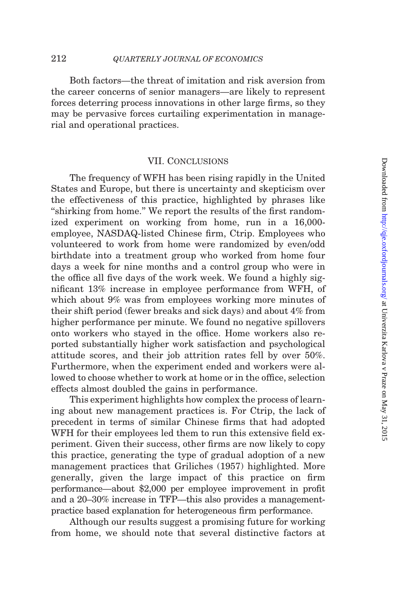Both factors—the threat of imitation and risk aversion from the career concerns of senior managers—are likely to represent forces deterring process innovations in other large firms, so they may be pervasive forces curtailing experimentation in managerial and operational practices.

# VII. Conclusions

The frequency of WFH has been rising rapidly in the United States and Europe, but there is uncertainty and skepticism over the effectiveness of this practice, highlighted by phrases like "shirking from home." We report the results of the first randomized experiment on working from home, run in a 16,000 employee, NASDAQ-listed Chinese firm, Ctrip. Employees who volunteered to work from home were randomized by even/odd birthdate into a treatment group who worked from home four days a week for nine months and a control group who were in the office all five days of the work week. We found a highly significant 13% increase in employee performance from WFH, of which about 9% was from employees working more minutes of their shift period (fewer breaks and sick days) and about 4% from higher performance per minute. We found no negative spillovers onto workers who stayed in the office. Home workers also reported substantially higher work satisfaction and psychological attitude scores, and their job attrition rates fell by over 50%. Furthermore, when the experiment ended and workers were allowed to choose whether to work at home or in the office, selection effects almost doubled the gains in performance.

This experiment highlights how complex the process of learning about new management practices is. For Ctrip, the lack of precedent in terms of similar Chinese firms that had adopted WFH for their employees led them to run this extensive field experiment. Given their success, other firms are now likely to copy this practice, generating the type of gradual adoption of a new management practices that [Griliches \(1957\)](#page-53-0) highlighted. More generally, given the large impact of this practice on firm performance—about \$2,000 per employee improvement in profit and a 20–30% increase in TFP—this also provides a managementpractice based explanation for heterogeneous firm performance.

Although our results suggest a promising future for working from home, we should note that several distinctive factors at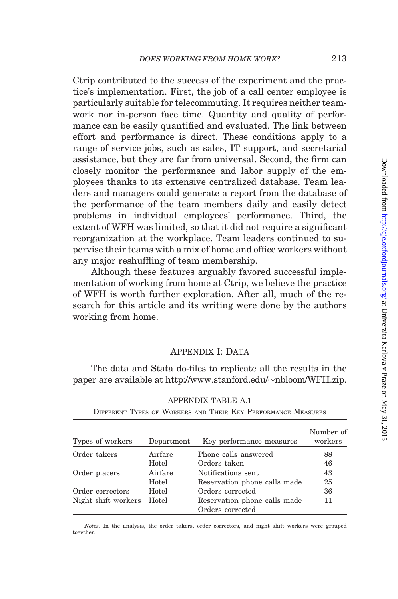<span id="page-48-0"></span>Ctrip contributed to the success of the experiment and the practice's implementation. First, the job of a call center employee is particularly suitable for telecommuting. It requires neither teamwork nor in-person face time. Quantity and quality of performance can be easily quantified and evaluated. The link between effort and performance is direct. These conditions apply to a range of service jobs, such as sales, IT support, and secretarial assistance, but they are far from universal. Second, the firm can closely monitor the performance and labor supply of the employees thanks to its extensive centralized database. Team leaders and managers could generate a report from the database of the performance of the team members daily and easily detect problems in individual employees' performance. Third, the extent of WFH was limited, so that it did not require a significant reorganization at the workplace. Team leaders continued to supervise their teams with a mix of home and office workers without any major reshuffling of team membership.

Although these features arguably favored successful implementation of working from home at Ctrip, we believe the practice of WFH is worth further exploration. After all, much of the research for this article and its writing were done by the authors working from home.

# APPENDIX I: DATA

The data and Stata do-files to replicate all the results in the paper are available at [http://www.stanford.edu/](http://www.stanford.edu/~nbloom/WFH.zip)~[nbloom/WFH.zip.](http://www.stanford.edu/~nbloom/WFH.zip)

| Types of workers    | Department | Key performance measures                         | Number of<br>workers |
|---------------------|------------|--------------------------------------------------|----------------------|
| Order takers        | Airfare    | Phone calls answered                             | 88                   |
|                     | Hotel      | Orders taken                                     | 46                   |
| Order placers       | Airfare    | Notifications sent                               | 43                   |
|                     | Hotel      | Reservation phone calls made                     | 25                   |
| Order correctors    | Hotel      | Orders corrected                                 | 36                   |
| Night shift workers | Hotel      | Reservation phone calls made<br>Orders corrected | 11                   |

APPENDIX TABLE A.1 DIFFERENT TYPES OF WORKERS AND THEIR KEY PERFORMANCE MEASURES

Notes. In the analysis, the order takers, order correctors, and night shift workers were grouped together.

Downloaded from http://qje.oxfordjournals.org/ at Univerzita Karlova v Praze on May 31, 2015 Downloaded from <http://qje.oxfordjournals.org/> at Univerzita Karlova v Praze on May 31, 2015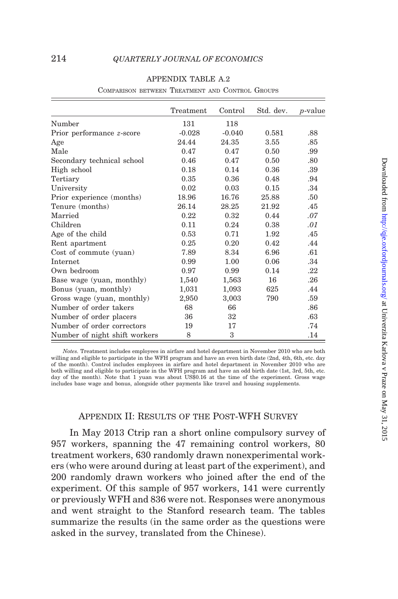<span id="page-49-0"></span>

|                               | Treatment | Control  | Std. dev. | <i>p</i> -value |
|-------------------------------|-----------|----------|-----------|-----------------|
| Number                        | 131       | 118      |           |                 |
| Prior performance z-score     | $-0.028$  | $-0.040$ | 0.581     | .88             |
| Age                           | 24.44     | 24.35    | 3.55      | .85             |
| Male                          | 0.47      | 0.47     | 0.50      | .99             |
| Secondary technical school    | 0.46      | 0.47     | 0.50      | .80             |
| High school                   | 0.18      | 0.14     | 0.36      | .39             |
| Tertiary                      | 0.35      | 0.36     | 0.48      | .94             |
| University                    | 0.02      | 0.03     | 0.15      | .34             |
| Prior experience (months)     | 18.96     | 16.76    | 25.88     | .50             |
| Tenure (months)               | 26.14     | 28.25    | 21.92     | .45             |
| Married                       | 0.22      | 0.32     | 0.44      | .07             |
| Children                      | 0.11      | 0.24     | 0.38      | .01             |
| Age of the child              | 0.53      | 0.71     | 1.92      | .45             |
| Rent apartment                | 0.25      | 0.20     | 0.42      | .44             |
| Cost of commute (yuan)        | 7.89      | 8.34     | 6.96      | .61             |
| Internet                      | 0.99      | 1.00     | 0.06      | .34             |
| Own bedroom                   | 0.97      | 0.99     | 0.14      | .22             |
| Base wage (yuan, monthly)     | 1,540     | 1,563    | 16        | .26             |
| Bonus (yuan, monthly)         | 1,031     | 1,093    | 625       | .44             |
| Gross wage (yuan, monthly)    | 2,950     | 3,003    | 790       | .59             |
| Number of order takers        | 68        | 66       |           | .86             |
| Number of order placers       | 36        | 32       |           | .63             |
| Number of order correctors    | 19        | 17       |           | .74             |
| Number of night shift workers | 8         | 3        |           | .14             |

#### APPENDIX TABLE A.2

COMPARISON BETWEEN TREATMENT AND CONTROL GROUPS

Notes. Treatment includes employees in airfare and hotel department in November 2010 who are both willing and eligible to participate in the WFH program and have an even birth date (2nd, 4th, 6th, etc. day of the month). Control includes employees in airfare and hotel department in November 2010 who are both willing and eligible to participate in the WFH program and have an odd birth date (1st, 3rd, 5th, etc. day of the month). Note that 1 yuan was about US\$0.16 at the time of the experiment. Gross wage includes base wage and bonus, alongside other payments like travel and housing supplements.

# Appendix II: Results of the Post-WFH Survey

In May 2013 Ctrip ran a short online compulsory survey of 957 workers, spanning the 47 remaining control workers, 80 treatment workers, 630 randomly drawn nonexperimental workers (who were around during at least part of the experiment), and 200 randomly drawn workers who joined after the end of the experiment. Of this sample of 957 workers, 141 were currently or previously WFH and 836 were not. Responses were anonymous and went straight to the Stanford research team. The tables summarize the results (in the same order as the questions were asked in the survey, translated from the Chinese).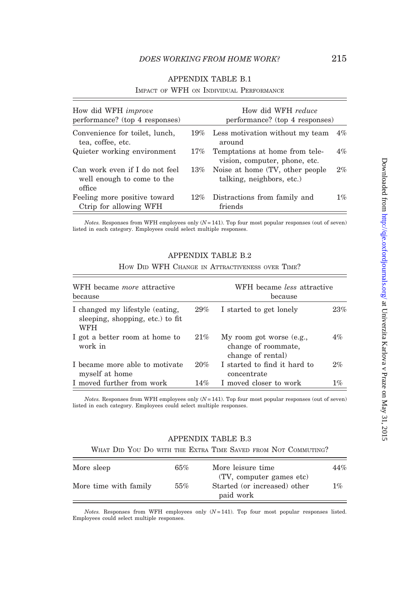<span id="page-50-0"></span>

| How did WFH <i>improve</i><br>performance? (top 4 responses)           |        | How did WFH reduce<br>performance? (top 4 responses)            |    |
|------------------------------------------------------------------------|--------|-----------------------------------------------------------------|----|
| Convenience for toilet, lunch,<br>tea, coffee, etc.                    |        | 19% Less motivation without my team<br>around                   | 4% |
| Quieter working environment                                            | 17%    | Temptations at home from tele-<br>vision, computer, phone, etc. | 4% |
| Can work even if I do not feel<br>well enough to come to the<br>office | $13\%$ | Noise at home (TV, other people)<br>talking, neighbors, etc.)   | 2% |
| Feeling more positive toward<br>Ctrip for allowing WFH                 | $12\%$ | Distractions from family and<br>friends                         | 1% |

# APPENDIX TABLE B.1

IMPACT OF WFH ON INDIVIDUAL PERFORMANCE

 $Notes.$  Responses from WFH employees only  $(N = 141)$ . Top four most popular responses (out of seven) listed in each category. Employees could select multiple responses.

#### APPENDIX TABLE B.2

| HOW DID WFH CHANGE IN ATTRACTIVENESS OVER TIME? |
|-------------------------------------------------|
|-------------------------------------------------|

| WFH became <i>more</i> attractive<br>because                               |        | WFH became <i>less</i> attractive<br>because                         |       |  |
|----------------------------------------------------------------------------|--------|----------------------------------------------------------------------|-------|--|
| I changed my lifestyle (eating,<br>sleeping, shopping, etc.) to fit<br>WFH | $29\%$ | I started to get lonely                                              | 23%   |  |
| I got a better room at home to<br>work in                                  | 21%    | My room got worse (e.g.,<br>change of roommate,<br>change of rental) | 4%    |  |
| I became more able to motivate<br>myself at home                           | 20%    | I started to find it hard to<br>concentrate                          | 2%    |  |
| I moved further from work                                                  | 14%    | I moved closer to work                                               | $1\%$ |  |

*Notes.* Responses from WFH employees only  $(N=141)$ . Top four most popular responses (out of seven) listed in each category. Employees could select multiple responses.

# APPENDIX TABLE B.3

WHAT DID YOU DO WITH THE EXTRA TIME SAVED FROM NOT COMMUTING?

| More sleep            | 65% | More leisure time                                                     | 44%   |
|-----------------------|-----|-----------------------------------------------------------------------|-------|
| More time with family | 55% | (TV, computer games etc)<br>Started (or increased) other<br>paid work | $1\%$ |

Notes. Responses from WFH employees only  $(N=141)$ . Top four most popular responses listed. Employees could select multiple responses.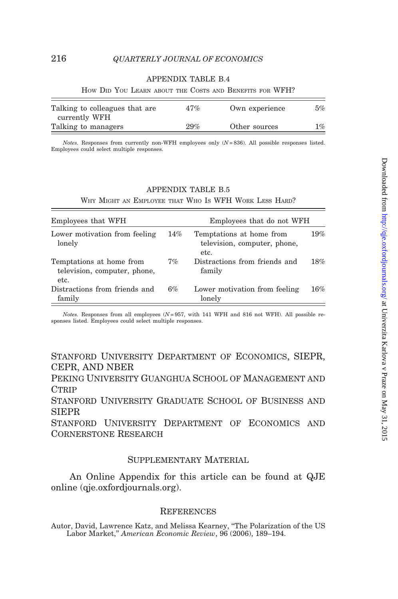# APPENDIX TABLE B.4

<span id="page-51-0"></span>

| Talking to colleagues that are | 47%    | Own experience | $5\%$ |
|--------------------------------|--------|----------------|-------|
| currently WFH                  |        |                |       |
| Talking to managers            | $29\%$ | Other sources  | $1\%$ |

HOW DID YOU LEARN ABOUT THE COSTS AND BENEFITS FOR WFH?

 $Notes.$  Responses from currently non-WFH employees only  $(N = 836)$ . All possible responses listed. Employees could select multiple responses.

#### APPENDIX TABLE B.5

WHY MIGHT AN EMPLOYEE THAT WHO IS WFH WORK LESS HARD?

| Employees that WFH                                               | Employees that do not WFH |                                                                  |     |
|------------------------------------------------------------------|---------------------------|------------------------------------------------------------------|-----|
| Lower motivation from feeling<br>lonely                          | 14%                       | Temptations at home from<br>television, computer, phone,<br>etc. | 19% |
| Temptations at home from<br>television, computer, phone,<br>etc. | 7%                        | Distractions from friends and<br>family                          | 18% |
| Distractions from friends and<br>family                          | 6%                        | Lower motivation from feeling<br>lonely                          | 16% |

Notes. Responses from all employees  $(N=957, \text{ with } 141 \text{ WFH}$  and 816 not WFH). All possible responses listed. Employees could select multiple responses.

Stanford University Department of Economics, SIEPR, CEPR, AND NBER

Peking University Guanghua School of Management and **CTRIP** 

Stanford University Graduate School of Business and SIEPR

Stanford University Department of Economics and Cornerstone Research

# Supplementary Material

An [Online Appendix](http://qje.oxfordjournals.org/lookup/suppl/doi:10.1093/qje/qju032/-/DC1) for this article can be found at QJE online [\(qje.oxfordjournals.org\)](http://www.qje.oxfordjournals.org).

#### **REFERENCES**

Autor, David, Lawrence Katz, and Melissa Kearney, ''The Polarization of the US Labor Market,'' American Economic Review, 96 (2006), 189–194.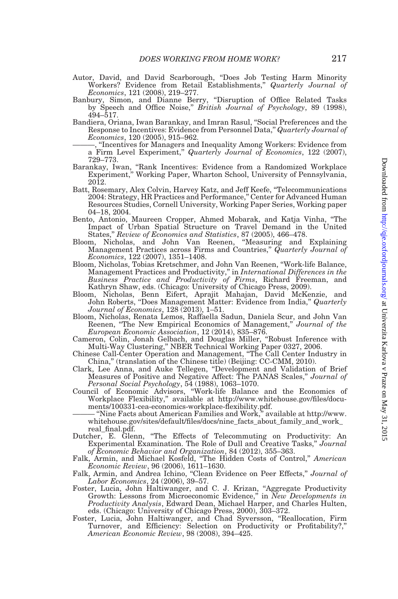- <span id="page-52-0"></span>Autor, David, and David Scarborough, ''Does Job Testing Harm Minority Workers? Evidence from Retail Establishments," Quarterly Journal of Economics, 121 (2008), 219–277.
- Banbury, Simon, and Dianne Berry, ''Disruption of Office Related Tasks by Speech and Office Noise,'' British Journal of Psychology, 89 (1998), 494–517.
- Bandiera, Oriana, Iwan Barankay, and Imran Rasul, ''Social Preferences and the Response to Incentives: Evidence from Personnel Data,'' Quarterly Journal of Economics, 120 (2005), 915–962.
	- "Incentives for Managers and Inequality Among Workers: Evidence from a Firm Level Experiment,'' Quarterly Journal of Economics, 122 (2007), 729–773.
- Barankay, Iwan, ''Rank Incentives: Evidence from a Randomized Workplace Experiment,'' Working Paper, Wharton School, University of Pennsylvania, 2012.
- Batt, Rosemary, Alex Colvin, Harvey Katz, and Jeff Keefe, ''Telecommunications 2004: Strategy, HR Practices and Performance,'' Center for Advanced Human Resources Studies, Cornell University, Working Paper Series, Working paper 04–18, 2004.
- Bento, Antonio, Maureen Cropper, Ahmed Mobarak, and Katja Vinha, ''The Impact of Urban Spatial Structure on Travel Demand in the United
- States," Review of Economics and Statistics, 87 (2005), 466–478.<br>Bloom, Nicholas, and John Van Reenen, "Measuring and Explaining Management Practices across Firms and Countries," Quarterly Journal of Economics, 122 (2007), 1351–1408.
- Bloom, Nicholas, Tobias Kretschmer, and John Van Reenen, ''Work-life Balance, Management Practices and Productivity,'' in International Differences in the Business Practice and Productivity of Firms, Richard Freeman, and Kathryn Shaw, eds. (Chicago: University of Chicago Press, 2009). Bloom, Nicholas, Benn Eifert, Aprajit Mahajan, David McKenzie, and
- John Roberts, "Does Management Matter: Evidence from India," *Quarterly* Journal of Economics, 128 (2013), 1–51.
- Bloom, Nicholas, Renata Lemos, Raffaella Sadun, Daniela Scur, and John Van Reenen, "The New Empirical Economics of Management," Journal of the European Economic Association, 12 (2014), 835–876.
- Cameron, Colin, Jonah Gelbach, and Douglas Miller, ''Robust Inference with Multi-Way Clustering,'' NBER Technical Working Paper 0327, 2006.
- Chinese Call-Center Operation and Management, ''The Call Center Industry in China,'' (translation of the Chinese title) (Beijing: CC-CMM, 2010).
- Clark, Lee Anna, and Auke Tellegen, ''Development and Validation of Brief Measures of Positive and Negative Affect: The PANAS Scales,'' Journal of Personal Social Psychology, 54 (1988), 1063–1070. Council of Economic Advisors, ''Work-life Balance and the Economics of
- Workplace Flexibility,'' available at [http://www.whitehouse.gov/files/docu](http://www.whitehouse.gov/files/documents/100331-cea-economics-workplace-flexibility.pdf)[ments/100331-cea-economics-workplace-flexibility.pdf.](http://www.whitehouse.gov/files/documents/100331-cea-economics-workplace-flexibility.pdf)
- "Nine Facts about American Families and Work," available at [http://www.](http://www.whitehouse.gov/sites/default/files/docs/nine_facts_about_family_and_work_real_final.pdf) [whitehouse.gov/sites/default/files/docs/nine\\_facts\\_about\\_family\\_and\\_work\\_](http://www.whitehouse.gov/sites/default/files/docs/nine_facts_about_family_and_work_real_final.pdf) [real\\_final.pdf.](http://www.whitehouse.gov/sites/default/files/docs/nine_facts_about_family_and_work_real_final.pdf)
- Dutcher, E. Glenn, ''The Effects of Telecommuting on Productivity: An Experimental Examination. The Role of Dull and Creative Tasks," Journal of Economic Behavior and Organization, 84 (2012), 355–363.
- Falk, Armin, and Michael Kosfeld, "The Hidden Costs of Control," American Economic Review, 96 (2006), 1611–1630.
- Falk, Armin, and Andrea Ichino, "Clean Evidence on Peer Effects," Journal of Labor Economics, 24 (2006), 39–57.
- Foster, Lucia, John Haltiwanger, and C. J. Krizan, ''Aggregate Productivity Growth: Lessons from Microeconomic Evidence," in New Developments in Productivity Analysis, Edward Dean, Michael Harper, and Charles Hulten,
- eds. (Chicago: University of Chicago Press, 2000), 303–372. Foster, Lucia, John Haltiwanger, and Chad Syversson, ''Reallocation, Firm Turnover, and Efficiency: Selection on Productivity or Profitability?," American Economic Review, 98 (2008), 394–425.